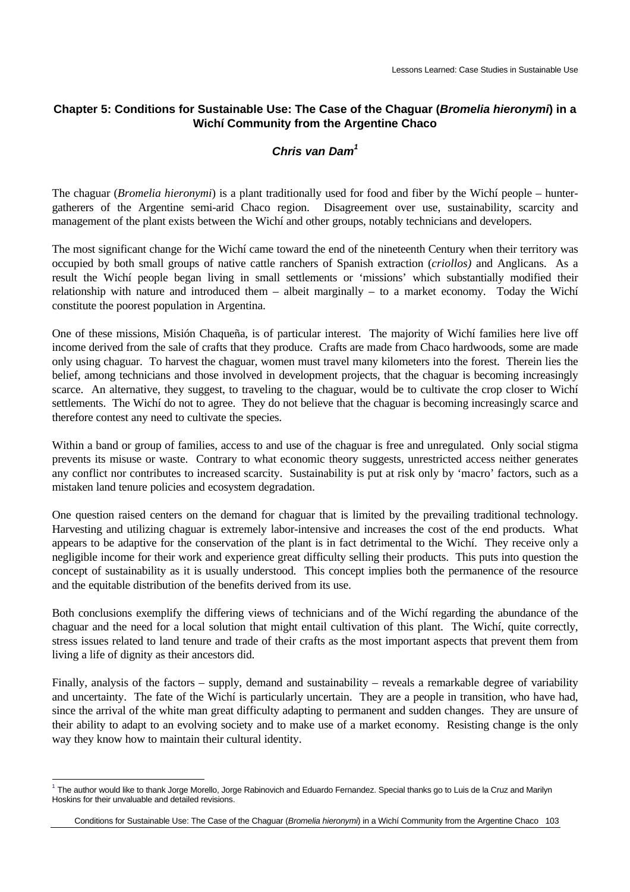### **Chapter 5: Conditions for Sustainable Use: The Case of the Chaguar (***Bromelia hieronymi***) in a Wichí Community from the Argentine Chaco**

### *Chris van Dam<sup>1</sup>*

The chaguar (*Bromelia hieronymi*) is a plant traditionally used for food and fiber by the Wichí people – huntergatherers of the Argentine semi-arid Chaco region. Disagreement over use, sustainability, scarcity and management of the plant exists between the Wichí and other groups, notably technicians and developers.

The most significant change for the Wichí came toward the end of the nineteenth Century when their territory was occupied by both small groups of native cattle ranchers of Spanish extraction (*criollos)* and Anglicans. As a result the Wichí people began living in small settlements or 'missions' which substantially modified their relationship with nature and introduced them – albeit marginally – to a market economy. Today the Wichí constitute the poorest population in Argentina.

One of these missions, Misión Chaqueña, is of particular interest. The majority of Wichí families here live off income derived from the sale of crafts that they produce. Crafts are made from Chaco hardwoods, some are made only using chaguar. To harvest the chaguar, women must travel many kilometers into the forest. Therein lies the belief, among technicians and those involved in development projects, that the chaguar is becoming increasingly scarce. An alternative, they suggest, to traveling to the chaguar, would be to cultivate the crop closer to Wichí settlements. The Wichí do not to agree. They do not believe that the chaguar is becoming increasingly scarce and therefore contest any need to cultivate the species.

Within a band or group of families, access to and use of the chaguar is free and unregulated. Only social stigma prevents its misuse or waste. Contrary to what economic theory suggests, unrestricted access neither generates any conflict nor contributes to increased scarcity. Sustainability is put at risk only by 'macro' factors, such as a mistaken land tenure policies and ecosystem degradation.

One question raised centers on the demand for chaguar that is limited by the prevailing traditional technology. Harvesting and utilizing chaguar is extremely labor-intensive and increases the cost of the end products. What appears to be adaptive for the conservation of the plant is in fact detrimental to the Wichí. They receive only a negligible income for their work and experience great difficulty selling their products. This puts into question the concept of sustainability as it is usually understood. This concept implies both the permanence of the resource and the equitable distribution of the benefits derived from its use.

Both conclusions exemplify the differing views of technicians and of the Wichí regarding the abundance of the chaguar and the need for a local solution that might entail cultivation of this plant. The Wichí, quite correctly, stress issues related to land tenure and trade of their crafts as the most important aspects that prevent them from living a life of dignity as their ancestors did.

Finally, analysis of the factors – supply, demand and sustainability – reveals a remarkable degree of variability and uncertainty. The fate of the Wichí is particularly uncertain. They are a people in transition, who have had, since the arrival of the white man great difficulty adapting to permanent and sudden changes. They are unsure of their ability to adapt to an evolving society and to make use of a market economy. Resisting change is the only way they know how to maintain their cultural identity.

 $\overline{a}$  $^1$  The author would like to thank Jorge Morello, Jorge Rabinovich and Eduardo Fernandez. Special thanks go to Luis de la Cruz and Marilyn Hoskins for their unvaluable and detailed revisions.

Conditions for Sustainable Use: The Case of the Chaguar (*Bromelia hieronymi*) in a Wichí Community from the Argentine Chaco 103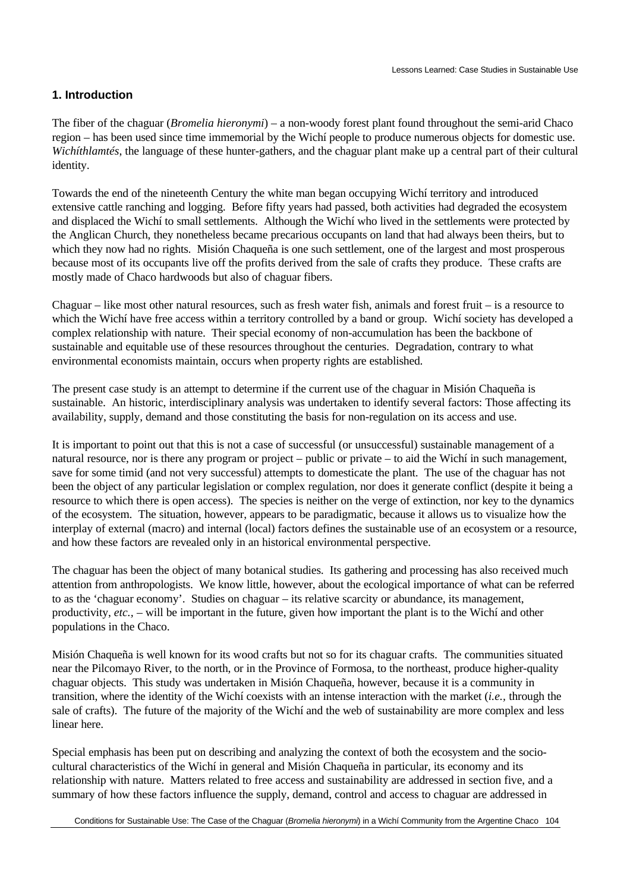### **1. Introduction**

The fiber of the chaguar (*Bromelia hieronymi*) – a non-woody forest plant found throughout the semi-arid Chaco region – has been used since time immemorial by the Wichí people to produce numerous objects for domestic use. *Wichíthlamtés*, the language of these hunter-gathers, and the chaguar plant make up a central part of their cultural identity.

Towards the end of the nineteenth Century the white man began occupying Wichí territory and introduced extensive cattle ranching and logging. Before fifty years had passed, both activities had degraded the ecosystem and displaced the Wichí to small settlements. Although the Wichí who lived in the settlements were protected by the Anglican Church, they nonetheless became precarious occupants on land that had always been theirs, but to which they now had no rights. Misión Chaqueña is one such settlement, one of the largest and most prosperous because most of its occupants live off the profits derived from the sale of crafts they produce. These crafts are mostly made of Chaco hardwoods but also of chaguar fibers.

Chaguar – like most other natural resources, such as fresh water fish, animals and forest fruit – is a resource to which the Wichí have free access within a territory controlled by a band or group. Wichí society has developed a complex relationship with nature. Their special economy of non-accumulation has been the backbone of sustainable and equitable use of these resources throughout the centuries. Degradation, contrary to what environmental economists maintain, occurs when property rights are established.

The present case study is an attempt to determine if the current use of the chaguar in Misión Chaqueña is sustainable. An historic, interdisciplinary analysis was undertaken to identify several factors: Those affecting its availability, supply, demand and those constituting the basis for non-regulation on its access and use.

It is important to point out that this is not a case of successful (or unsuccessful) sustainable management of a natural resource, nor is there any program or project – public or private – to aid the Wichí in such management, save for some timid (and not very successful) attempts to domesticate the plant. The use of the chaguar has not been the object of any particular legislation or complex regulation, nor does it generate conflict (despite it being a resource to which there is open access). The species is neither on the verge of extinction, nor key to the dynamics of the ecosystem. The situation, however, appears to be paradigmatic, because it allows us to visualize how the interplay of external (macro) and internal (local) factors defines the sustainable use of an ecosystem or a resource, and how these factors are revealed only in an historical environmental perspective.

The chaguar has been the object of many botanical studies. Its gathering and processing has also received much attention from anthropologists. We know little, however, about the ecological importance of what can be referred to as the 'chaguar economy'. Studies on chaguar – its relative scarcity or abundance, its management, productivity, *etc.,* – will be important in the future, given how important the plant is to the Wichí and other populations in the Chaco.

Misión Chaqueña is well known for its wood crafts but not so for its chaguar crafts. The communities situated near the Pilcomayo River, to the north, or in the Province of Formosa, to the northeast, produce higher-quality chaguar objects. This study was undertaken in Misión Chaqueña, however, because it is a community in transition, where the identity of the Wichí coexists with an intense interaction with the market (*i.e.,* through the sale of crafts). The future of the majority of the Wichí and the web of sustainability are more complex and less linear here.

Special emphasis has been put on describing and analyzing the context of both the ecosystem and the sociocultural characteristics of the Wichí in general and Misión Chaqueña in particular, its economy and its relationship with nature. Matters related to free access and sustainability are addressed in section five, and a summary of how these factors influence the supply, demand, control and access to chaguar are addressed in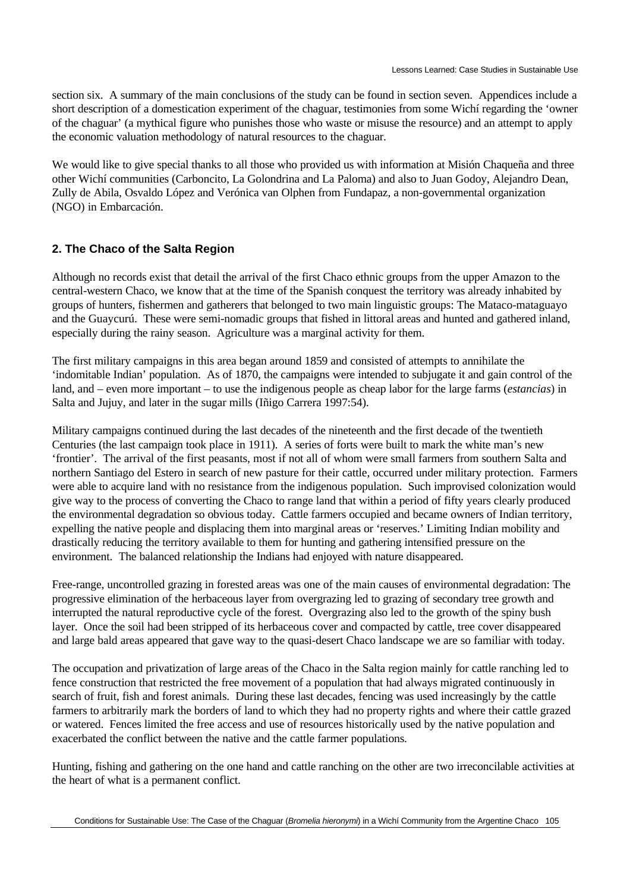section six. A summary of the main conclusions of the study can be found in section seven. Appendices include a short description of a domestication experiment of the chaguar, testimonies from some Wichí regarding the 'owner of the chaguar' (a mythical figure who punishes those who waste or misuse the resource) and an attempt to apply the economic valuation methodology of natural resources to the chaguar.

We would like to give special thanks to all those who provided us with information at Misión Chaqueña and three other Wichí communities (Carboncito, La Golondrina and La Paloma) and also to Juan Godoy, Alejandro Dean, Zully de Abila, Osvaldo López and Verónica van Olphen from Fundapaz, a non-governmental organization (NGO) in Embarcación.

# **2. The Chaco of the Salta Region**

Although no records exist that detail the arrival of the first Chaco ethnic groups from the upper Amazon to the central-western Chaco, we know that at the time of the Spanish conquest the territory was already inhabited by groups of hunters, fishermen and gatherers that belonged to two main linguistic groups: The Mataco-mataguayo and the Guaycurú. These were semi-nomadic groups that fished in littoral areas and hunted and gathered inland, especially during the rainy season. Agriculture was a marginal activity for them.

The first military campaigns in this area began around 1859 and consisted of attempts to annihilate the 'indomitable Indian' population. As of 1870, the campaigns were intended to subjugate it and gain control of the land, and – even more important – to use the indigenous people as cheap labor for the large farms (*estancias*) in Salta and Jujuy, and later in the sugar mills (Iñigo Carrera 1997:54).

Military campaigns continued during the last decades of the nineteenth and the first decade of the twentieth Centuries (the last campaign took place in 1911). A series of forts were built to mark the white man's new 'frontier'. The arrival of the first peasants, most if not all of whom were small farmers from southern Salta and northern Santiago del Estero in search of new pasture for their cattle, occurred under military protection. Farmers were able to acquire land with no resistance from the indigenous population. Such improvised colonization would give way to the process of converting the Chaco to range land that within a period of fifty years clearly produced the environmental degradation so obvious today. Cattle farmers occupied and became owners of Indian territory, expelling the native people and displacing them into marginal areas or 'reserves.' Limiting Indian mobility and drastically reducing the territory available to them for hunting and gathering intensified pressure on the environment. The balanced relationship the Indians had enjoyed with nature disappeared.

Free-range, uncontrolled grazing in forested areas was one of the main causes of environmental degradation: The progressive elimination of the herbaceous layer from overgrazing led to grazing of secondary tree growth and interrupted the natural reproductive cycle of the forest. Overgrazing also led to the growth of the spiny bush layer. Once the soil had been stripped of its herbaceous cover and compacted by cattle, tree cover disappeared and large bald areas appeared that gave way to the quasi-desert Chaco landscape we are so familiar with today.

The occupation and privatization of large areas of the Chaco in the Salta region mainly for cattle ranching led to fence construction that restricted the free movement of a population that had always migrated continuously in search of fruit, fish and forest animals. During these last decades, fencing was used increasingly by the cattle farmers to arbitrarily mark the borders of land to which they had no property rights and where their cattle grazed or watered. Fences limited the free access and use of resources historically used by the native population and exacerbated the conflict between the native and the cattle farmer populations.

Hunting, fishing and gathering on the one hand and cattle ranching on the other are two irreconcilable activities at the heart of what is a permanent conflict.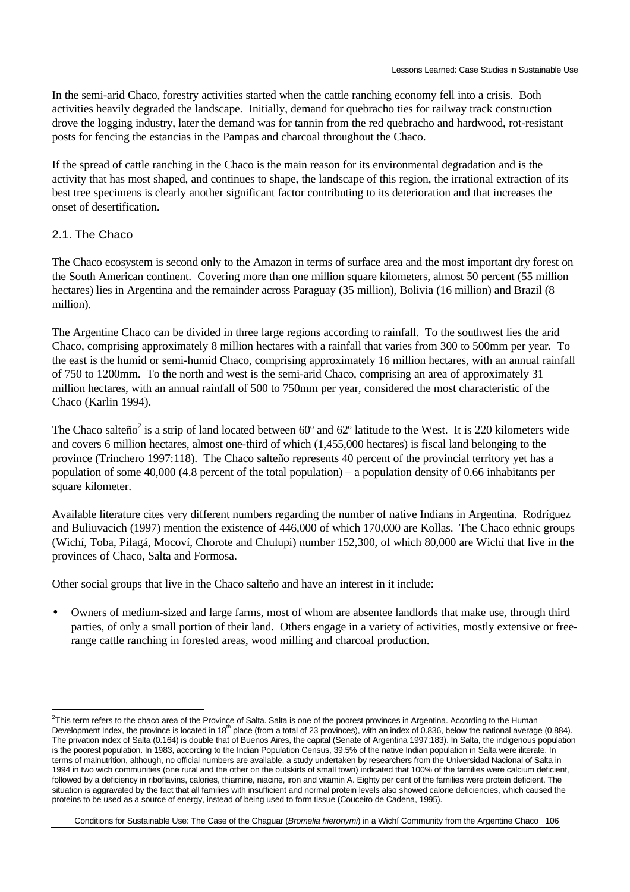In the semi-arid Chaco, forestry activities started when the cattle ranching economy fell into a crisis. Both activities heavily degraded the landscape. Initially, demand for quebracho ties for railway track construction drove the logging industry, later the demand was for tannin from the red quebracho and hardwood, rot-resistant posts for fencing the estancias in the Pampas and charcoal throughout the Chaco.

If the spread of cattle ranching in the Chaco is the main reason for its environmental degradation and is the activity that has most shaped, and continues to shape, the landscape of this region, the irrational extraction of its best tree specimens is clearly another significant factor contributing to its deterioration and that increases the onset of desertification.

#### 2.1. The Chaco

The Chaco ecosystem is second only to the Amazon in terms of surface area and the most important dry forest on the South American continent. Covering more than one million square kilometers, almost 50 percent (55 million hectares) lies in Argentina and the remainder across Paraguay (35 million), Bolivia (16 million) and Brazil (8 million).

The Argentine Chaco can be divided in three large regions according to rainfall. To the southwest lies the arid Chaco, comprising approximately 8 million hectares with a rainfall that varies from 300 to 500mm per year. To the east is the humid or semi-humid Chaco, comprising approximately 16 million hectares, with an annual rainfall of 750 to 1200mm. To the north and west is the semi-arid Chaco, comprising an area of approximately 31 million hectares, with an annual rainfall of 500 to 750mm per year, considered the most characteristic of the Chaco (Karlin 1994).

The Chaco salteño<sup>2</sup> is a strip of land located between  $60^{\circ}$  and  $62^{\circ}$  latitude to the West. It is 220 kilometers wide and covers 6 million hectares, almost one-third of which (1,455,000 hectares) is fiscal land belonging to the province (Trinchero 1997:118). The Chaco salteño represents 40 percent of the provincial territory yet has a population of some 40,000 (4.8 percent of the total population) – a population density of 0.66 inhabitants per square kilometer.

Available literature cites very different numbers regarding the number of native Indians in Argentina. Rodríguez and Buliuvacich (1997) mention the existence of 446,000 of which 170,000 are Kollas. The Chaco ethnic groups (Wichí, Toba, Pilagá, Mocoví, Chorote and Chulupi) number 152,300, of which 80,000 are Wichí that live in the provinces of Chaco, Salta and Formosa.

Other social groups that live in the Chaco salteño and have an interest in it include:

• Owners of medium-sized and large farms, most of whom are absentee landlords that make use, through third parties, of only a small portion of their land. Others engage in a variety of activities, mostly extensive or freerange cattle ranching in forested areas, wood milling and charcoal production.

 2 This term refers to the chaco area of the Province of Salta. Salta is one of the poorest provinces in Argentina. According to the Human Development Index, the province is located in 18<sup>th</sup> place (from a total of 23 provinces), with an index of 0.836, below the national average (0.884). The privation index of Salta (0.164) is double that of Buenos Aires, the capital (Senate of Argentina 1997:183). In Salta, the indigenous population is the poorest population. In 1983, according to the Indian Population Census, 39.5% of the native Indian population in Salta were iliterate. In terms of malnutrition, although, no official numbers are available, a study undertaken by researchers from the Universidad Nacional of Salta in 1994 in two wich communities (one rural and the other on the outskirts of small town) indicated that 100% of the families were calcium deficient, followed by a deficiency in riboflavins, calories, thiamine, niacine, iron and vitamin A. Eighty per cent of the families were protein deficient. The situation is aggravated by the fact that all families with insufficient and normal protein levels also showed calorie deficiencies, which caused the proteins to be used as a source of energy, instead of being used to form tissue (Couceiro de Cadena, 1995).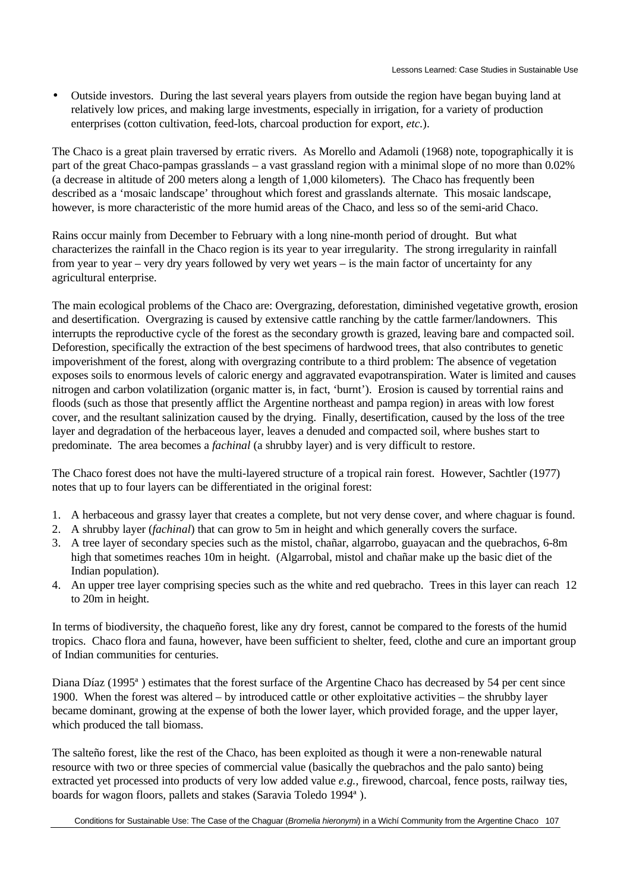• Outside investors. During the last several years players from outside the region have began buying land at relatively low prices, and making large investments, especially in irrigation, for a variety of production enterprises (cotton cultivation, feed-lots, charcoal production for export, *etc.*).

The Chaco is a great plain traversed by erratic rivers. As Morello and Adamoli (1968) note, topographically it is part of the great Chaco-pampas grasslands – a vast grassland region with a minimal slope of no more than 0.02% (a decrease in altitude of 200 meters along a length of 1,000 kilometers). The Chaco has frequently been described as a 'mosaic landscape' throughout which forest and grasslands alternate. This mosaic landscape, however, is more characteristic of the more humid areas of the Chaco, and less so of the semi-arid Chaco.

Rains occur mainly from December to February with a long nine-month period of drought. But what characterizes the rainfall in the Chaco region is its year to year irregularity. The strong irregularity in rainfall from year to year – very dry years followed by very wet years – is the main factor of uncertainty for any agricultural enterprise.

The main ecological problems of the Chaco are: Overgrazing, deforestation, diminished vegetative growth, erosion and desertification. Overgrazing is caused by extensive cattle ranching by the cattle farmer/landowners. This interrupts the reproductive cycle of the forest as the secondary growth is grazed, leaving bare and compacted soil. Deforestion, specifically the extraction of the best specimens of hardwood trees, that also contributes to genetic impoverishment of the forest, along with overgrazing contribute to a third problem: The absence of vegetation exposes soils to enormous levels of caloric energy and aggravated evapotranspiration. Water is limited and causes nitrogen and carbon volatilization (organic matter is, in fact, 'burnt'). Erosion is caused by torrential rains and floods (such as those that presently afflict the Argentine northeast and pampa region) in areas with low forest cover, and the resultant salinization caused by the drying. Finally, desertification, caused by the loss of the tree layer and degradation of the herbaceous layer, leaves a denuded and compacted soil, where bushes start to predominate. The area becomes a *fachinal* (a shrubby layer) and is very difficult to restore.

The Chaco forest does not have the multi-layered structure of a tropical rain forest. However, Sachtler (1977) notes that up to four layers can be differentiated in the original forest:

- 1. A herbaceous and grassy layer that creates a complete, but not very dense cover, and where chaguar is found.
- 2. A shrubby layer (*fachinal*) that can grow to 5m in height and which generally covers the surface.
- 3. A tree layer of secondary species such as the mistol, chañar, algarrobo, guayacan and the quebrachos, 6-8m high that sometimes reaches 10m in height. (Algarrobal, mistol and chañar make up the basic diet of the Indian population).
- 4. An upper tree layer comprising species such as the white and red quebracho. Trees in this layer can reach 12 to 20m in height.

In terms of biodiversity, the chaqueño forest, like any dry forest, cannot be compared to the forests of the humid tropics. Chaco flora and fauna, however, have been sufficient to shelter, feed, clothe and cure an important group of Indian communities for centuries.

Diana Díaz (1995ª ) estimates that the forest surface of the Argentine Chaco has decreased by 54 per cent since 1900. When the forest was altered – by introduced cattle or other exploitative activities – the shrubby layer became dominant, growing at the expense of both the lower layer, which provided forage, and the upper layer, which produced the tall biomass.

The salteño forest, like the rest of the Chaco, has been exploited as though it were a non-renewable natural resource with two or three species of commercial value (basically the quebrachos and the palo santo) being extracted yet processed into products of very low added value *e.g.,* firewood, charcoal, fence posts, railway ties, boards for wagon floors, pallets and stakes (Saravia Toledo 1994ª ).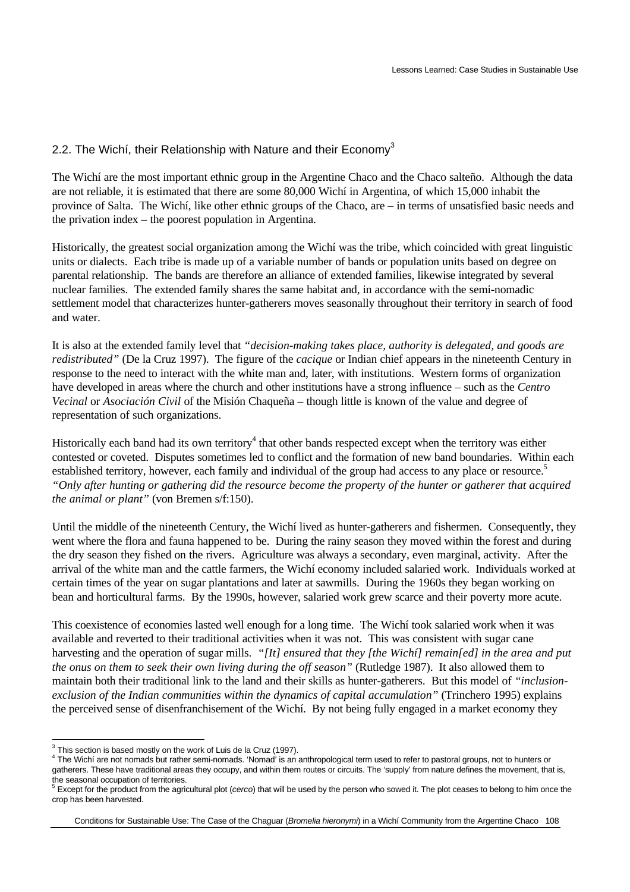### 2.2. The Wichi, their Relationship with Nature and their  $E_{\text{conom}}^3$

The Wichí are the most important ethnic group in the Argentine Chaco and the Chaco salteño. Although the data are not reliable, it is estimated that there are some 80,000 Wichí in Argentina, of which 15,000 inhabit the province of Salta. The Wichí, like other ethnic groups of the Chaco, are – in terms of unsatisfied basic needs and the privation index – the poorest population in Argentina.

Historically, the greatest social organization among the Wichí was the tribe, which coincided with great linguistic units or dialects. Each tribe is made up of a variable number of bands or population units based on degree on parental relationship. The bands are therefore an alliance of extended families, likewise integrated by several nuclear families. The extended family shares the same habitat and, in accordance with the semi-nomadic settlement model that characterizes hunter-gatherers moves seasonally throughout their territory in search of food and water.

It is also at the extended family level that *"decision-making takes place, authority is delegated, and goods are redistributed"* (De la Cruz 1997). The figure of the *cacique* or Indian chief appears in the nineteenth Century in response to the need to interact with the white man and, later, with institutions. Western forms of organization have developed in areas where the church and other institutions have a strong influence – such as the *Centro Vecinal* or *Asociación Civil* of the Misión Chaqueña – though little is known of the value and degree of representation of such organizations.

Historically each band had its own territory<sup>4</sup> that other bands respected except when the territory was either contested or coveted. Disputes sometimes led to conflict and the formation of new band boundaries. Within each established territory, however, each family and individual of the group had access to any place or resource.<sup>5</sup> *"Only after hunting or gathering did the resource become the property of the hunter or gatherer that acquired the animal or plant"* (von Bremen s/f:150).

Until the middle of the nineteenth Century, the Wichí lived as hunter-gatherers and fishermen. Consequently, they went where the flora and fauna happened to be. During the rainy season they moved within the forest and during the dry season they fished on the rivers. Agriculture was always a secondary, even marginal, activity. After the arrival of the white man and the cattle farmers, the Wichí economy included salaried work. Individuals worked at certain times of the year on sugar plantations and later at sawmills. During the 1960s they began working on bean and horticultural farms. By the 1990s, however, salaried work grew scarce and their poverty more acute.

This coexistence of economies lasted well enough for a long time. The Wichí took salaried work when it was available and reverted to their traditional activities when it was not. This was consistent with sugar cane harvesting and the operation of sugar mills. *"[It] ensured that they [the Wichí] remain[ed] in the area and put the onus on them to seek their own living during the off season"* (Rutledge 1987). It also allowed them to maintain both their traditional link to the land and their skills as hunter-gatherers. But this model of *"inclusionexclusion of the Indian communities within the dynamics of capital accumulation"* (Trinchero 1995) explains the perceived sense of disenfranchisement of the Wichí. By not being fully engaged in a market economy they

 3 This section is based mostly on the work of Luis de la Cruz (1997).

 $^4$  The Wichí are not nomads but rather semi-nomads. 'Nomad' is an anthropological term used to refer to pastoral groups, not to hunters or gatherers. These have traditional areas they occupy, and within them routes or circuits. The 'supply' from nature defines the movement, that is, the seasonal occupation of territories.<br><sup>5</sup> Execut for the product from the equiv

Except for the product from the agricultural plot (*cerco*) that will be used by the person who sowed it. The plot ceases to belong to him once the crop has been harvested.

Conditions for Sustainable Use: The Case of the Chaguar (*Bromelia hieronymi*) in a Wichí Community from the Argentine Chaco 108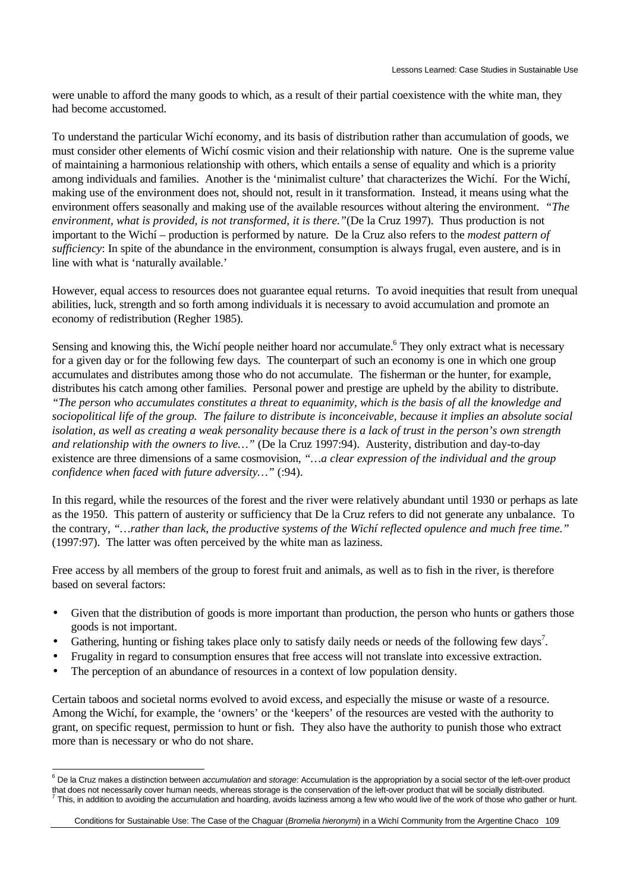were unable to afford the many goods to which, as a result of their partial coexistence with the white man, they had become accustomed.

To understand the particular Wichí economy, and its basis of distribution rather than accumulation of goods, we must consider other elements of Wichí cosmic vision and their relationship with nature. One is the supreme value of maintaining a harmonious relationship with others, which entails a sense of equality and which is a priority among individuals and families. Another is the 'minimalist culture' that characterizes the Wichí. For the Wichí, making use of the environment does not, should not, result in it transformation. Instead, it means using what the environment offers seasonally and making use of the available resources without altering the environment. *"The environment, what is provided, is not transformed, it is there."*(De la Cruz 1997). Thus production is not important to the Wichí – production is performed by nature. De la Cruz also refers to the *modest pattern of sufficiency*: In spite of the abundance in the environment, consumption is always frugal, even austere, and is in line with what is 'naturally available.'

However, equal access to resources does not guarantee equal returns. To avoid inequities that result from unequal abilities, luck, strength and so forth among individuals it is necessary to avoid accumulation and promote an economy of redistribution (Regher 1985).

Sensing and knowing this, the Wichí people neither hoard nor accumulate.<sup>6</sup> They only extract what is necessary for a given day or for the following few days. The counterpart of such an economy is one in which one group accumulates and distributes among those who do not accumulate. The fisherman or the hunter, for example, distributes his catch among other families. Personal power and prestige are upheld by the ability to distribute. *"The person who accumulates constitutes a threat to equanimity, which is the basis of all the knowledge and sociopolitical life of the group. The failure to distribute is inconceivable, because it implies an absolute social isolation, as well as creating a weak personality because there is a lack of trust in the person's own strength and relationship with the owners to live…"* (De la Cruz 1997:94). Austerity, distribution and day-to-day existence are three dimensions of a same cosmovision*, "…a clear expression of the individual and the group confidence when faced with future adversity…"* (:94).

In this regard, while the resources of the forest and the river were relatively abundant until 1930 or perhaps as late as the 1950. This pattern of austerity or sufficiency that De la Cruz refers to did not generate any unbalance. To the contrary, *"…rather than lack, the productive systems of the Wichí reflected opulence and much free time."* (1997:97). The latter was often perceived by the white man as laziness.

Free access by all members of the group to forest fruit and animals, as well as to fish in the river, is therefore based on several factors:

- Given that the distribution of goods is more important than production, the person who hunts or gathers those goods is not important.
- Gathering, hunting or fishing takes place only to satisfy daily needs or needs of the following few days<sup>7</sup>.
- Frugality in regard to consumption ensures that free access will not translate into excessive extraction.
- The perception of an abundance of resources in a context of low population density.

Certain taboos and societal norms evolved to avoid excess, and especially the misuse or waste of a resource. Among the Wichí, for example, the 'owners' or the 'keepers' of the resources are vested with the authority to grant, on specific request, permission to hunt or fish. They also have the authority to punish those who extract more than is necessary or who do not share.

 6 De la Cruz makes a distinction between *accumulation* and *storage*: Accumulation is the appropriation by a social sector of the left-over product that does not necessarily cover human needs, whereas storage is the conservation of the left-over product that will be socially distributed. 7 This, in addition to avoiding the accumulation and hoarding, avoids laziness among a few who would live of the work of those who gather or hunt.

Conditions for Sustainable Use: The Case of the Chaguar (*Bromelia hieronymi*) in a Wichí Community from the Argentine Chaco 109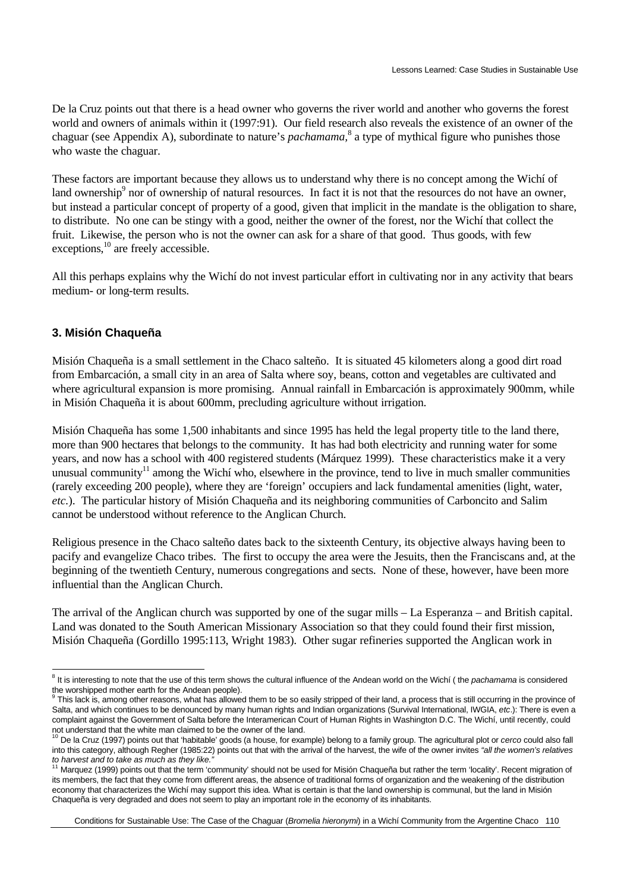De la Cruz points out that there is a head owner who governs the river world and another who governs the forest world and owners of animals within it (1997:91). Our field research also reveals the existence of an owner of the chaguar (see Appendix A), subordinate to nature's *pachamama*,<sup>8</sup> a type of mythical figure who punishes those who waste the chaguar.

These factors are important because they allows us to understand why there is no concept among the Wichí of land ownership<sup>9</sup> nor of ownership of natural resources. In fact it is not that the resources do not have an owner, but instead a particular concept of property of a good, given that implicit in the mandate is the obligation to share, to distribute. No one can be stingy with a good, neither the owner of the forest, nor the Wichí that collect the fruit. Likewise, the person who is not the owner can ask for a share of that good. Thus goods, with few  $exceptions, <sup>10</sup>$  are freely accessible.

All this perhaps explains why the Wichí do not invest particular effort in cultivating nor in any activity that bears medium- or long-term results.

#### **3. Misión Chaqueña**

Misión Chaqueña is a small settlement in the Chaco salteño. It is situated 45 kilometers along a good dirt road from Embarcación, a small city in an area of Salta where soy, beans, cotton and vegetables are cultivated and where agricultural expansion is more promising. Annual rainfall in Embarcación is approximately 900mm, while in Misión Chaqueña it is about 600mm, precluding agriculture without irrigation.

Misión Chaqueña has some 1,500 inhabitants and since 1995 has held the legal property title to the land there, more than 900 hectares that belongs to the community. It has had both electricity and running water for some years, and now has a school with 400 registered students (Márquez 1999). These characteristics make it a very unusual community<sup>11</sup> among the Wichí who, elsewhere in the province, tend to live in much smaller communities (rarely exceeding 200 people), where they are 'foreign' occupiers and lack fundamental amenities (light, water, *etc.*). The particular history of Misión Chaqueña and its neighboring communities of Carboncito and Salim cannot be understood without reference to the Anglican Church.

Religious presence in the Chaco salteño dates back to the sixteenth Century, its objective always having been to pacify and evangelize Chaco tribes. The first to occupy the area were the Jesuits, then the Franciscans and, at the beginning of the twentieth Century, numerous congregations and sects. None of these, however, have been more influential than the Anglican Church.

The arrival of the Anglican church was supported by one of the sugar mills – La Esperanza – and British capital. Land was donated to the South American Missionary Association so that they could found their first mission, Misión Chaqueña (Gordillo 1995:113, Wright 1983). Other sugar refineries supported the Anglican work in

 8 It is interesting to note that the use of this term shows the cultural influence of the Andean world on the Wichí ( the *pachamama* is considered the worshipped mother earth for the Andean people).

<sup>9</sup> This lack is, among other reasons, what has allowed them to be so easily stripped of their land, a process that is still occurring in the province of Salta, and which continues to be denounced by many human rights and Indian organizations (Survival International, IWGIA, *etc*.): There is even a complaint against the Government of Salta before the Interamerican Court of Human Rights in Washington D.C. The Wichí, until recently, could

not understand that the white man claimed to be the owner of the land.<br><sup>10</sup> De la Cruz (1997) points out that 'habitable' goods (a house, for example) belong to a family group. The agricultural plot or *cerco* could also f into this category, although Regher (1985:22) points out that with the arrival of the harvest, the wife of the owner invites *"all the women's relatives to harvest and to take as much as they like."*

<sup>&</sup>lt;sup>11</sup> Marquez (1999) points out that the term 'community' should not be used for Misión Chaqueña but rather the term 'locality'. Recent migration of its members, the fact that they come from different areas, the absence of traditional forms of organization and the weakening of the distribution economy that characterizes the Wichí may support this idea. What is certain is that the land ownership is communal, but the land in Misión Chaqueña is very degraded and does not seem to play an important role in the economy of its inhabitants.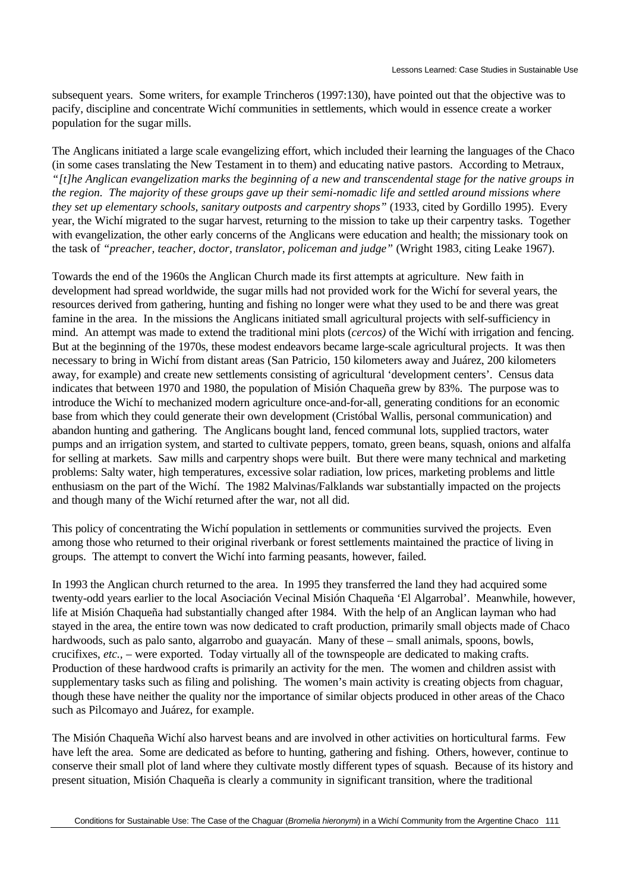subsequent years. Some writers, for example Trincheros (1997:130), have pointed out that the objective was to pacify, discipline and concentrate Wichí communities in settlements, which would in essence create a worker population for the sugar mills.

The Anglicans initiated a large scale evangelizing effort, which included their learning the languages of the Chaco (in some cases translating the New Testament in to them) and educating native pastors. According to Metraux, *"[t]he Anglican evangelization marks the beginning of a new and transcendental stage for the native groups in the region. The majority of these groups gave up their semi-nomadic life and settled around missions where they set up elementary schools, sanitary outposts and carpentry shops"* (1933, cited by Gordillo 1995). Every year, the Wichí migrated to the sugar harvest, returning to the mission to take up their carpentry tasks. Together with evangelization, the other early concerns of the Anglicans were education and health; the missionary took on the task of *"preacher, teacher, doctor, translator, policeman and judge"* (Wright 1983, citing Leake 1967).

Towards the end of the 1960s the Anglican Church made its first attempts at agriculture. New faith in development had spread worldwide, the sugar mills had not provided work for the Wichí for several years, the resources derived from gathering, hunting and fishing no longer were what they used to be and there was great famine in the area. In the missions the Anglicans initiated small agricultural projects with self-sufficiency in mind. An attempt was made to extend the traditional mini plots (*cercos)* of the Wichí with irrigation and fencing. But at the beginning of the 1970s, these modest endeavors became large-scale agricultural projects. It was then necessary to bring in Wichí from distant areas (San Patricio, 150 kilometers away and Juárez, 200 kilometers away, for example) and create new settlements consisting of agricultural 'development centers'. Census data indicates that between 1970 and 1980, the population of Misión Chaqueña grew by 83%. The purpose was to introduce the Wichí to mechanized modern agriculture once-and-for-all, generating conditions for an economic base from which they could generate their own development (Cristóbal Wallis, personal communication) and abandon hunting and gathering. The Anglicans bought land, fenced communal lots, supplied tractors, water pumps and an irrigation system, and started to cultivate peppers, tomato, green beans, squash, onions and alfalfa for selling at markets. Saw mills and carpentry shops were built. But there were many technical and marketing problems: Salty water, high temperatures, excessive solar radiation, low prices, marketing problems and little enthusiasm on the part of the Wichí. The 1982 Malvinas/Falklands war substantially impacted on the projects and though many of the Wichí returned after the war, not all did.

This policy of concentrating the Wichí population in settlements or communities survived the projects. Even among those who returned to their original riverbank or forest settlements maintained the practice of living in groups. The attempt to convert the Wichí into farming peasants, however, failed.

In 1993 the Anglican church returned to the area. In 1995 they transferred the land they had acquired some twenty-odd years earlier to the local Asociación Vecinal Misión Chaqueña 'El Algarrobal'. Meanwhile, however, life at Misión Chaqueña had substantially changed after 1984. With the help of an Anglican layman who had stayed in the area, the entire town was now dedicated to craft production, primarily small objects made of Chaco hardwoods, such as palo santo, algarrobo and guayacán. Many of these – small animals, spoons, bowls, crucifixes, *etc.,* – were exported. Today virtually all of the townspeople are dedicated to making crafts. Production of these hardwood crafts is primarily an activity for the men. The women and children assist with supplementary tasks such as filing and polishing. The women's main activity is creating objects from chaguar, though these have neither the quality nor the importance of similar objects produced in other areas of the Chaco such as Pilcomayo and Juárez, for example.

The Misión Chaqueña Wichí also harvest beans and are involved in other activities on horticultural farms. Few have left the area. Some are dedicated as before to hunting, gathering and fishing. Others, however, continue to conserve their small plot of land where they cultivate mostly different types of squash. Because of its history and present situation, Misión Chaqueña is clearly a community in significant transition, where the traditional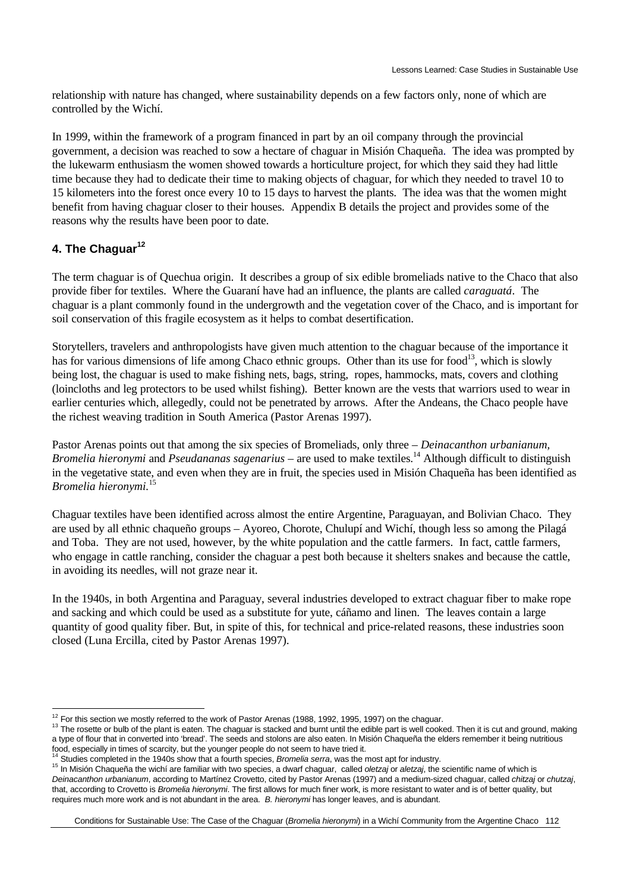relationship with nature has changed, where sustainability depends on a few factors only, none of which are controlled by the Wichí.

In 1999, within the framework of a program financed in part by an oil company through the provincial government, a decision was reached to sow a hectare of chaguar in Misión Chaqueña.The idea was prompted by the lukewarm enthusiasm the women showed towards a horticulture project, for which they said they had little time because they had to dedicate their time to making objects of chaguar, for which they needed to travel 10 to 15 kilometers into the forest once every 10 to 15 days to harvest the plants. The idea was that the women might benefit from having chaguar closer to their houses. Appendix B details the project and provides some of the reasons why the results have been poor to date.

### **4. The Chaguar<sup>12</sup>**

 $\overline{a}$ 

The term chaguar is of Quechua origin. It describes a group of six edible bromeliads native to the Chaco that also provide fiber for textiles. Where the Guaraní have had an influence, the plants are called *caraguatá*. The chaguar is a plant commonly found in the undergrowth and the vegetation cover of the Chaco, and is important for soil conservation of this fragile ecosystem as it helps to combat desertification.

Storytellers, travelers and anthropologists have given much attention to the chaguar because of the importance it has for various dimensions of life among Chaco ethnic groups. Other than its use for food<sup>13</sup>, which is slowly being lost, the chaguar is used to make fishing nets, bags, string, ropes, hammocks, mats, covers and clothing (loincloths and leg protectors to be used whilst fishing). Better known are the vests that warriors used to wear in earlier centuries which, allegedly, could not be penetrated by arrows. After the Andeans, the Chaco people have the richest weaving tradition in South America (Pastor Arenas 1997).

Pastor Arenas points out that among the six species of Bromeliads, only three – *Deinacanthon urbanianum, Bromelia hieronymi* and *Pseudananas sagenarius* – are used to make textiles.<sup>14</sup> Although difficult to distinguish in the vegetative state, and even when they are in fruit, the species used in Misión Chaqueña has been identified as *Bromelia hieronymi.*<sup>15</sup>

Chaguar textiles have been identified across almost the entire Argentine, Paraguayan, and Bolivian Chaco. They are used by all ethnic chaqueño groups – Ayoreo, Chorote, Chulupí and Wichí, though less so among the Pilagá and Toba. They are not used, however, by the white population and the cattle farmers. In fact, cattle farmers, who engage in cattle ranching, consider the chaguar a pest both because it shelters snakes and because the cattle, in avoiding its needles, will not graze near it.

In the 1940s, in both Argentina and Paraguay, several industries developed to extract chaguar fiber to make rope and sacking and which could be used as a substitute for yute, cáñamo and linen. The leaves contain a large quantity of good quality fiber. But, in spite of this, for technical and price-related reasons, these industries soon closed (Luna Ercilla, cited by Pastor Arenas 1997).

 $12$  For this section we mostly referred to the work of Pastor Arenas (1988, 1992, 1995, 1997) on the chaguar.

<sup>&</sup>lt;sup>13</sup> The rosette or bulb of the plant is eaten. The chaguar is stacked and burnt until the edible part is well cooked. Then it is cut and ground, making a type of flour that in converted into 'bread'. The seeds and stolons are also eaten. In Misión Chaqueña the elders remember it being nutritious food, especially in times of scarcity, but the younger people do not seem to have tried it.

<sup>14</sup> Studies completed in the 1940s show that a fourth species, *Bromelia serra*, was the most apt for industry.

<sup>15</sup> In Misión Chaqueña the wichí are familiar with two species, a dwarf chaguar, called *oletzaj* or *aletzaj*, the scientific name of which is *Deinacanthon urbanianum*, according to Martínez Crovetto, cited by Pastor Arenas (1997) and a medium-sized chaguar, called *chitzaj* or *chutzaj*, that, according to Crovetto is *Bromelia hieronymi*. The first allows for much finer work, is more resistant to water and is of better quality, but requires much more work and is not abundant in the area. *B. hieronymi* has longer leaves, and is abundant.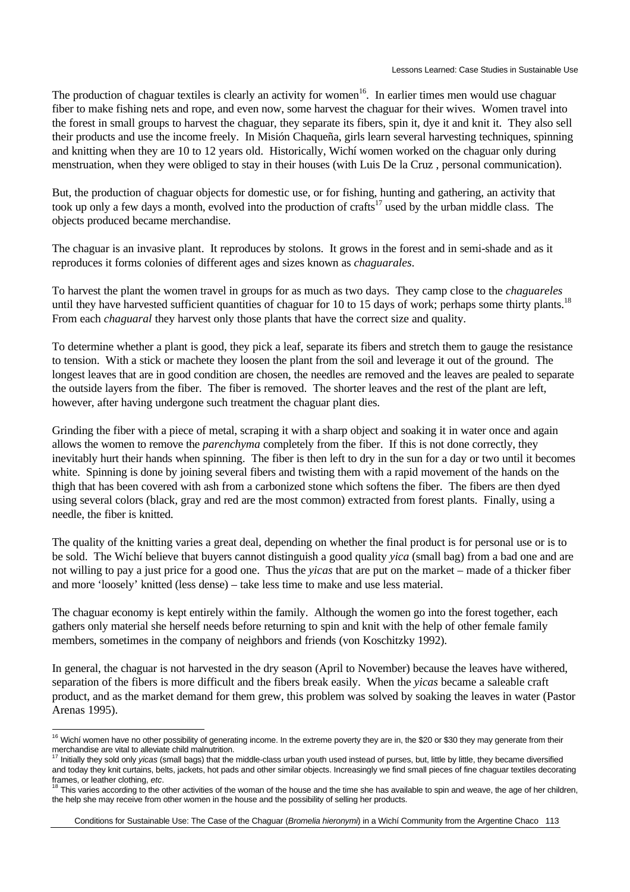The production of chaguar textiles is clearly an activity for women<sup>16</sup>. In earlier times men would use chaguar fiber to make fishing nets and rope, and even now, some harvest the chaguar for their wives. Women travel into the forest in small groups to harvest the chaguar, they separate its fibers, spin it, dye it and knit it. They also sell their products and use the income freely. In Misión Chaqueña, girls learn several harvesting techniques, spinning and knitting when they are 10 to 12 years old. Historically, Wichí women worked on the chaguar only during menstruation, when they were obliged to stay in their houses (with Luis De la Cruz , personal communication).

But, the production of chaguar objects for domestic use, or for fishing, hunting and gathering, an activity that took up only a few days a month, evolved into the production of crafts<sup>17</sup> used by the urban middle class. The objects produced became merchandise.

The chaguar is an invasive plant. It reproduces by stolons. It grows in the forest and in semi-shade and as it reproduces it forms colonies of different ages and sizes known as *chaguarales*.

To harvest the plant the women travel in groups for as much as two days. They camp close to the *chaguareles* until they have harvested sufficient quantities of chaguar for 10 to 15 days of work; perhaps some thirty plants.<sup>18</sup> From each *chaguaral* they harvest only those plants that have the correct size and quality.

To determine whether a plant is good, they pick a leaf, separate its fibers and stretch them to gauge the resistance to tension. With a stick or machete they loosen the plant from the soil and leverage it out of the ground. The longest leaves that are in good condition are chosen, the needles are removed and the leaves are pealed to separate the outside layers from the fiber. The fiber is removed. The shorter leaves and the rest of the plant are left, however, after having undergone such treatment the chaguar plant dies.

Grinding the fiber with a piece of metal, scraping it with a sharp object and soaking it in water once and again allows the women to remove the *parenchyma* completely from the fiber. If this is not done correctly, they inevitably hurt their hands when spinning. The fiber is then left to dry in the sun for a day or two until it becomes white. Spinning is done by joining several fibers and twisting them with a rapid movement of the hands on the thigh that has been covered with ash from a carbonized stone which softens the fiber. The fibers are then dyed using several colors (black, gray and red are the most common) extracted from forest plants. Finally, using a needle, the fiber is knitted.

The quality of the knitting varies a great deal, depending on whether the final product is for personal use or is to be sold. The Wichí believe that buyers cannot distinguish a good quality *yica* (small bag) from a bad one and are not willing to pay a just price for a good one. Thus the *yicas* that are put on the market – made of a thicker fiber and more 'loosely' knitted (less dense) – take less time to make and use less material.

The chaguar economy is kept entirely within the family. Although the women go into the forest together, each gathers only material she herself needs before returning to spin and knit with the help of other female family members, sometimes in the company of neighbors and friends (von Koschitzky 1992).

In general, the chaguar is not harvested in the dry season (April to November) because the leaves have withered, separation of the fibers is more difficult and the fibers break easily. When the *yicas* became a saleable craft product, and as the market demand for them grew, this problem was solved by soaking the leaves in water (Pastor Arenas 1995).

 $\overline{a}$ <sup>16</sup> Wichí women have no other possibility of generating income. In the extreme poverty they are in, the \$20 or \$30 they may generate from their merchandise are vital to alleviate child malnutrition.

<sup>17</sup> Initially they sold only *yicas* (small bags) that the middle-class urban youth used instead of purses, but, little by little, they became diversified and today they knit curtains, belts, jackets, hot pads and other similar objects. Increasingly we find small pieces of fine chaguar textiles decorating frames, or leather clothing, *etc*.

<sup>&</sup>lt;sup>18</sup> This varies according to the other activities of the woman of the house and the time she has available to spin and weave, the age of her children, the help she may receive from other women in the house and the possibility of selling her products.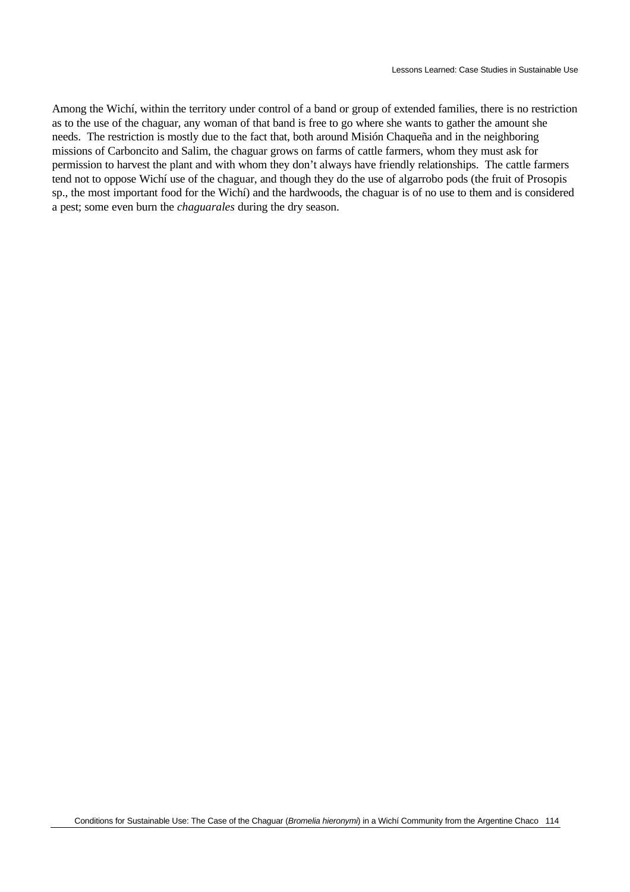Among the Wichí, within the territory under control of a band or group of extended families, there is no restriction as to the use of the chaguar, any woman of that band is free to go where she wants to gather the amount she needs. The restriction is mostly due to the fact that, both around Misión Chaqueña and in the neighboring missions of Carboncito and Salim, the chaguar grows on farms of cattle farmers, whom they must ask for permission to harvest the plant and with whom they don't always have friendly relationships. The cattle farmers tend not to oppose Wichí use of the chaguar, and though they do the use of algarrobo pods (the fruit of Prosopis sp., the most important food for the Wichí) and the hardwoods, the chaguar is of no use to them and is considered a pest; some even burn the *chaguarales* during the dry season.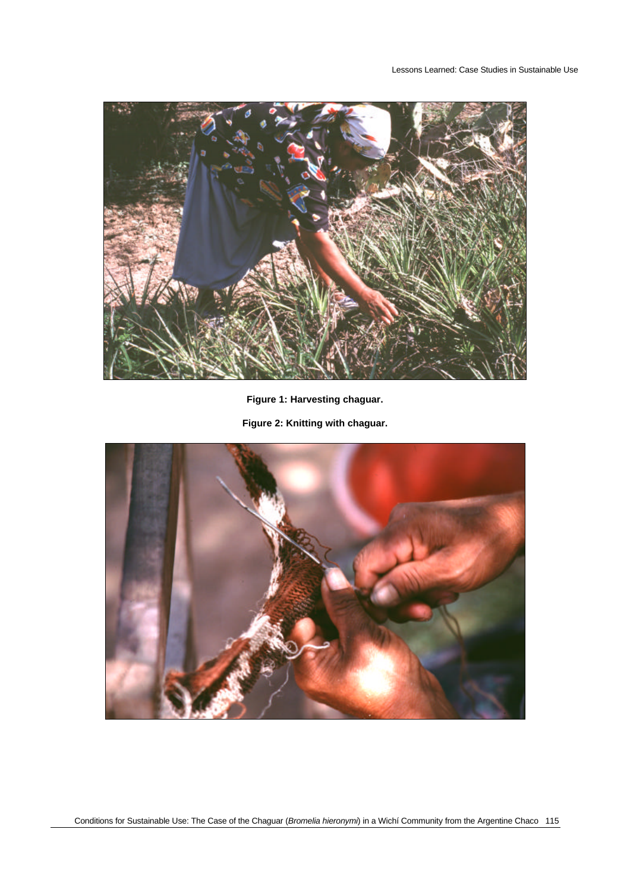

**Figure 1: Harvesting chaguar.**

**Figure 2: Knitting with chaguar.**

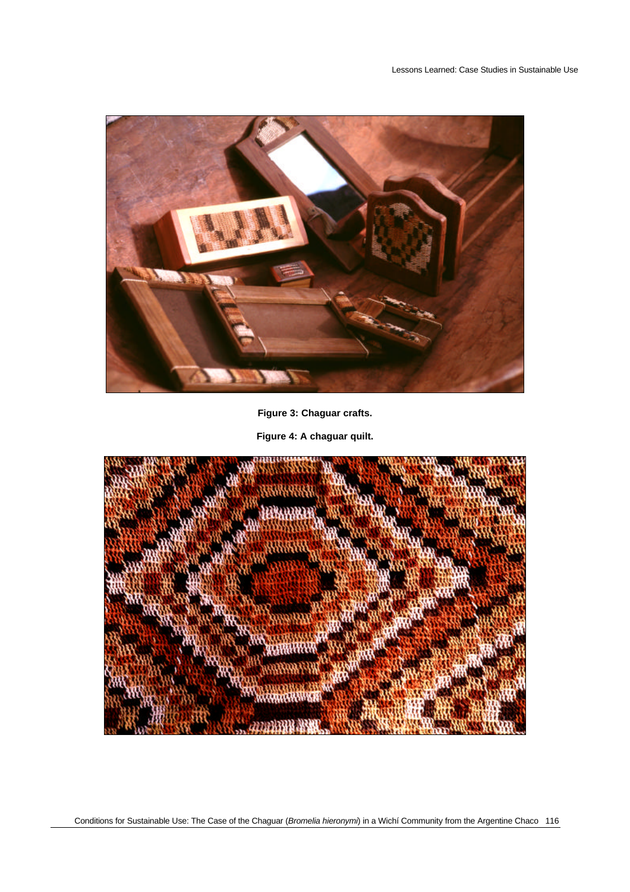

**Figure 3: Chaguar crafts.**

**Figure 4: A chaguar quilt.**

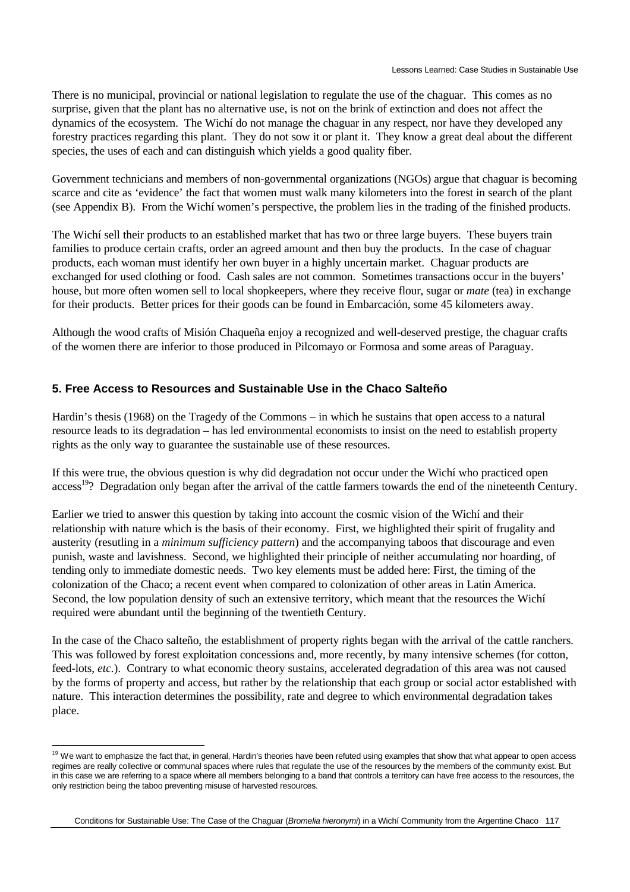There is no municipal, provincial or national legislation to regulate the use of the chaguar. This comes as no surprise, given that the plant has no alternative use, is not on the brink of extinction and does not affect the dynamics of the ecosystem. The Wichí do not manage the chaguar in any respect, nor have they developed any forestry practices regarding this plant. They do not sow it or plant it. They know a great deal about the different species, the uses of each and can distinguish which yields a good quality fiber.

Government technicians and members of non-governmental organizations (NGOs) argue that chaguar is becoming scarce and cite as 'evidence' the fact that women must walk many kilometers into the forest in search of the plant (see Appendix B). From the Wichí women's perspective, the problem lies in the trading of the finished products.

The Wichí sell their products to an established market that has two or three large buyers. These buyers train families to produce certain crafts, order an agreed amount and then buy the products. In the case of chaguar products, each woman must identify her own buyer in a highly uncertain market. Chaguar products are exchanged for used clothing or food. Cash sales are not common. Sometimes transactions occur in the buyers' house, but more often women sell to local shopkeepers, where they receive flour, sugar or *mate* (tea) in exchange for their products. Better prices for their goods can be found in Embarcación, some 45 kilometers away.

Although the wood crafts of Misión Chaqueña enjoy a recognized and well-deserved prestige, the chaguar crafts of the women there are inferior to those produced in Pilcomayo or Formosa and some areas of Paraguay.

### **5. Free Access to Resources and Sustainable Use in the Chaco Salteño**

Hardin's thesis (1968) on the Tragedy of the Commons – in which he sustains that open access to a natural resource leads to its degradation – has led environmental economists to insist on the need to establish property rights as the only way to guarantee the sustainable use of these resources.

If this were true, the obvious question is why did degradation not occur under the Wichí who practiced open access<sup>19</sup>? Degradation only began after the arrival of the cattle farmers towards the end of the nineteenth Century.

Earlier we tried to answer this question by taking into account the cosmic vision of the Wichí and their relationship with nature which is the basis of their economy. First, we highlighted their spirit of frugality and austerity (resutling in a *minimum sufficiency pattern*) and the accompanying taboos that discourage and even punish, waste and lavishness. Second, we highlighted their principle of neither accumulating nor hoarding, of tending only to immediate domestic needs. Two key elements must be added here: First, the timing of the colonization of the Chaco; a recent event when compared to colonization of other areas in Latin America. Second, the low population density of such an extensive territory, which meant that the resources the Wichí required were abundant until the beginning of the twentieth Century.

In the case of the Chaco salteño, the establishment of property rights began with the arrival of the cattle ranchers. This was followed by forest exploitation concessions and, more recently, by many intensive schemes (for cotton, feed-lots, *etc.*). Contrary to what economic theory sustains, accelerated degradation of this area was not caused by the forms of property and access, but rather by the relationship that each group or social actor established with nature. This interaction determines the possibility, rate and degree to which environmental degradation takes place.

 $\overline{a}$ 

<sup>&</sup>lt;sup>19</sup> We want to emphasize the fact that, in general, Hardin's theories have been refuted using examples that show that what appear to open access regimes are really collective or communal spaces where rules that regulate the use of the resources by the members of the community exist. But in this case we are referring to a space where all members belonging to a band that controls a territory can have free access to the resources, the only restriction being the taboo preventing misuse of harvested resources.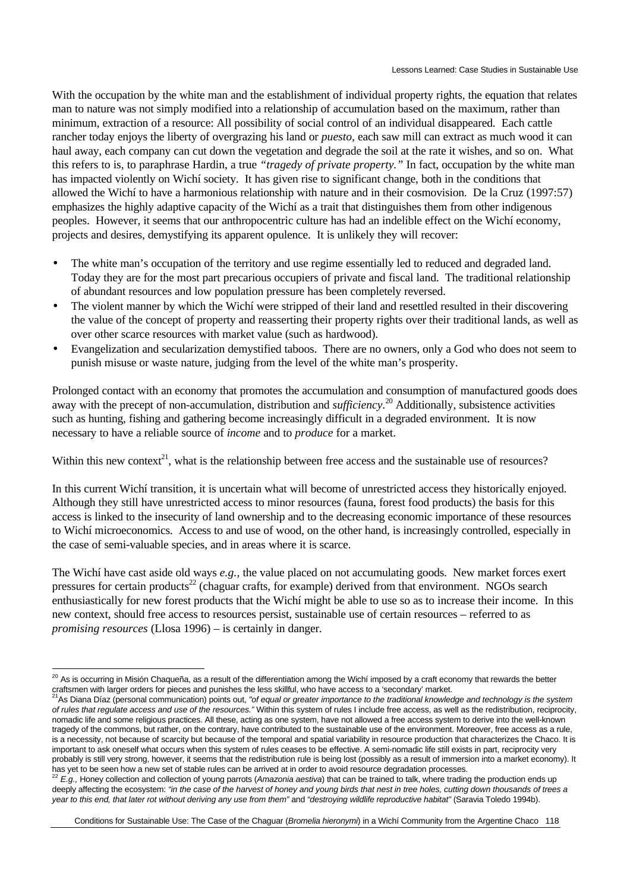With the occupation by the white man and the establishment of individual property rights, the equation that relates man to nature was not simply modified into a relationship of accumulation based on the maximum, rather than minimum, extraction of a resource: All possibility of social control of an individual disappeared. Each cattle rancher today enjoys the liberty of overgrazing his land or *puesto*, each saw mill can extract as much wood it can haul away, each company can cut down the vegetation and degrade the soil at the rate it wishes, and so on. What this refers to is, to paraphrase Hardin, a true *"tragedy of private property."* In fact, occupation by the white man has impacted violently on Wichí society. It has given rise to significant change, both in the conditions that allowed the Wichí to have a harmonious relationship with nature and in their cosmovision. De la Cruz (1997:57) emphasizes the highly adaptive capacity of the Wichí as a trait that distinguishes them from other indigenous peoples. However, it seems that our anthropocentric culture has had an indelible effect on the Wichí economy, projects and desires, demystifying its apparent opulence. It is unlikely they will recover:

- The white man's occupation of the territory and use regime essentially led to reduced and degraded land. Today they are for the most part precarious occupiers of private and fiscal land. The traditional relationship of abundant resources and low population pressure has been completely reversed.
- The violent manner by which the Wichí were stripped of their land and resettled resulted in their discovering the value of the concept of property and reasserting their property rights over their traditional lands, as well as over other scarce resources with market value (such as hardwood).
- Evangelization and secularization demystified taboos. There are no owners, only a God who does not seem to punish misuse or waste nature, judging from the level of the white man's prosperity.

Prolonged contact with an economy that promotes the accumulation and consumption of manufactured goods does away with the precept of non-accumulation, distribution and *sufficiency*. <sup>20</sup> Additionally, subsistence activities such as hunting, fishing and gathering become increasingly difficult in a degraded environment. It is now necessary to have a reliable source of *income* and to *produce* for a market.

Within this new context<sup>21</sup>, what is the relationship between free access and the sustainable use of resources?

In this current Wichí transition, it is uncertain what will become of unrestricted access they historically enjoyed. Although they still have unrestricted access to minor resources (fauna, forest food products) the basis for this access is linked to the insecurity of land ownership and to the decreasing economic importance of these resources to Wichí microeconomics. Access to and use of wood, on the other hand, is increasingly controlled, especially in the case of semi-valuable species, and in areas where it is scarce.

The Wichí have cast aside old ways *e.g.,* the value placed on not accumulating goods. New market forces exert pressures for certain products<sup>22</sup> (chaguar crafts, for example) derived from that environment. NGOs search enthusiastically for new forest products that the Wichí might be able to use so as to increase their income. In this new context, should free access to resources persist, sustainable use of certain resources – referred to as *promising resources* (Llosa 1996) – is certainly in danger.

 $\overline{a}$  $^{20}$  As is occurring in Misión Chaqueña, as a result of the differentiation among the Wichí imposed by a craft economy that rewards the better

craftsmen with larger orders for pieces and punishes the less skillful, who have access to a 'secondary' market.<br><sup>21</sup>As Diana Díaz (personal communication) points out, "of eq*ual or greater importance to the traditional kn of rules that regulate access and use of the resources."* Within this system of rules I include free access, as well as the redistribution, reciprocity, nomadic life and some religious practices. All these, acting as one system, have not allowed a free access system to derive into the well-known tragedy of the commons, but rather, on the contrary, have contributed to the sustainable use of the environment. Moreover, free access as a rule, is a necessity, not because of scarcity but because of the temporal and spatial variability in resource production that characterizes the Chaco. It is important to ask oneself what occurs when this system of rules ceases to be effective. A semi-nomadic life still exists in part, reciprocity very probably is still very strong, however, it seems that the redistribution rule is being lost (possibly as a result of immersion into a market economy). It has yet to be seen how a new set of stable rules can be arrived at in order to avoid resource degradation processes.

<sup>22</sup> *E.g.,* Honey collection and collection of young parrots (*Amazonia aestiva*) that can be trained to talk, where trading the production ends up deeply affecting the ecosystem: *"in the case of the harvest of honey and young birds that nest in tree holes, cutting down thousands of trees a year to this end, that later rot without deriving any use from them"* and *"destroying wildlife reproductive habitat"* (Saravia Toledo 1994b).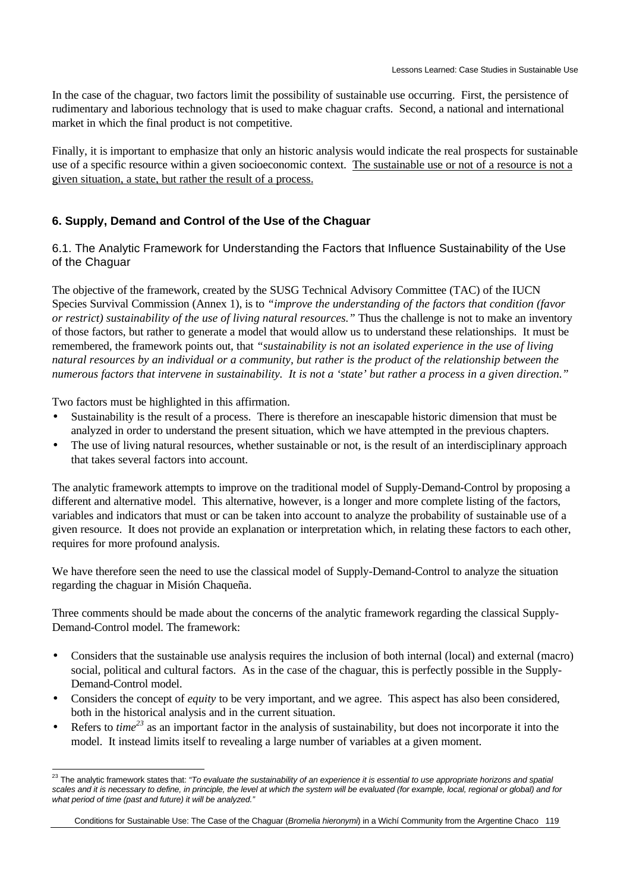In the case of the chaguar, two factors limit the possibility of sustainable use occurring. First, the persistence of rudimentary and laborious technology that is used to make chaguar crafts. Second, a national and international market in which the final product is not competitive.

Finally, it is important to emphasize that only an historic analysis would indicate the real prospects for sustainable use of a specific resource within a given socioeconomic context. The sustainable use or not of a resource is not a given situation, a state, but rather the result of a process.

### **6. Supply, Demand and Control of the Use of the Chaguar**

6.1. The Analytic Framework for Understanding the Factors that Influence Sustainability of the Use of the Chaguar

The objective of the framework, created by the SUSG Technical Advisory Committee (TAC) of the IUCN Species Survival Commission (Annex 1), is to *"improve the understanding of the factors that condition (favor or restrict) sustainability of the use of living natural resources."* Thus the challenge is not to make an inventory of those factors, but rather to generate a model that would allow us to understand these relationships. It must be remembered, the framework points out, that *"sustainability is not an isolated experience in the use of living natural resources by an individual or a community, but rather is the product of the relationship between the numerous factors that intervene in sustainability. It is not a 'state' but rather a process in a given direction."*

Two factors must be highlighted in this affirmation.

- Sustainability is the result of a process. There is therefore an inescapable historic dimension that must be analyzed in order to understand the present situation, which we have attempted in the previous chapters.
- The use of living natural resources, whether sustainable or not, is the result of an interdisciplinary approach that takes several factors into account.

The analytic framework attempts to improve on the traditional model of Supply-Demand-Control by proposing a different and alternative model. This alternative, however, is a longer and more complete listing of the factors, variables and indicators that must or can be taken into account to analyze the probability of sustainable use of a given resource. It does not provide an explanation or interpretation which, in relating these factors to each other, requires for more profound analysis.

We have therefore seen the need to use the classical model of Supply-Demand-Control to analyze the situation regarding the chaguar in Misión Chaqueña.

Three comments should be made about the concerns of the analytic framework regarding the classical Supply-Demand-Control model. The framework:

- Considers that the sustainable use analysis requires the inclusion of both internal (local) and external (macro) social, political and cultural factors. As in the case of the chaguar, this is perfectly possible in the Supply-Demand-Control model.
- Considers the concept of *equity* to be very important, and we agree. This aspect has also been considered, both in the historical analysis and in the current situation.
- Refers to *time<sup>23</sup>* as an important factor in the analysis of sustainability, but does not incorporate it into the model. It instead limits itself to revealing a large number of variables at a given moment.

 $\overline{a}$ <sup>23</sup> The analytic framework states that: *"To evaluate the sustainability of an experience it is essential to use appropriate horizons and spatial scales and it is necessary to define, in principle, the level at which the system will be evaluated (for example, local, regional or global) and for what period of time (past and future) it will be analyzed."*

Conditions for Sustainable Use: The Case of the Chaguar (*Bromelia hieronymi*) in a Wichí Community from the Argentine Chaco 119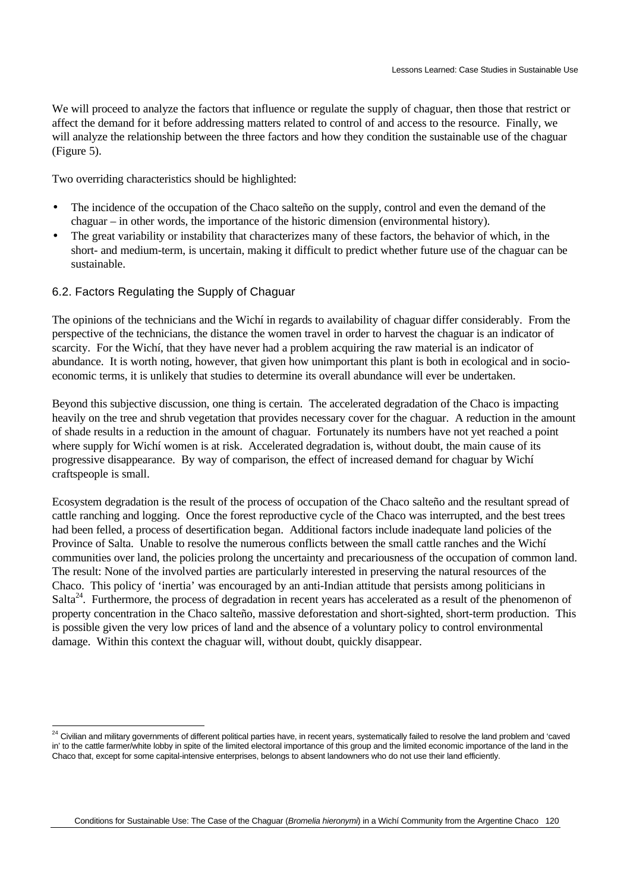We will proceed to analyze the factors that influence or regulate the supply of chaguar, then those that restrict or affect the demand for it before addressing matters related to control of and access to the resource. Finally, we will analyze the relationship between the three factors and how they condition the sustainable use of the chaguar (Figure 5).

Two overriding characteristics should be highlighted:

- The incidence of the occupation of the Chaco salteño on the supply, control and even the demand of the chaguar – in other words, the importance of the historic dimension (environmental history).
- The great variability or instability that characterizes many of these factors, the behavior of which, in the short- and medium-term, is uncertain, making it difficult to predict whether future use of the chaguar can be sustainable.
- 6.2. Factors Regulating the Supply of Chaguar

 $\overline{a}$ 

The opinions of the technicians and the Wichí in regards to availability of chaguar differ considerably. From the perspective of the technicians, the distance the women travel in order to harvest the chaguar is an indicator of scarcity. For the Wichí, that they have never had a problem acquiring the raw material is an indicator of abundance. It is worth noting, however, that given how unimportant this plant is both in ecological and in socioeconomic terms, it is unlikely that studies to determine its overall abundance will ever be undertaken.

Beyond this subjective discussion, one thing is certain. The accelerated degradation of the Chaco is impacting heavily on the tree and shrub vegetation that provides necessary cover for the chaguar. A reduction in the amount of shade results in a reduction in the amount of chaguar. Fortunately its numbers have not yet reached a point where supply for Wichí women is at risk. Accelerated degradation is, without doubt, the main cause of its progressive disappearance. By way of comparison, the effect of increased demand for chaguar by Wichí craftspeople is small.

Ecosystem degradation is the result of the process of occupation of the Chaco salteño and the resultant spread of cattle ranching and logging. Once the forest reproductive cycle of the Chaco was interrupted, and the best trees had been felled, a process of desertification began. Additional factors include inadequate land policies of the Province of Salta. Unable to resolve the numerous conflicts between the small cattle ranches and the Wichí communities over land, the policies prolong the uncertainty and precariousness of the occupation of common land. The result: None of the involved parties are particularly interested in preserving the natural resources of the Chaco. This policy of 'inertia' was encouraged by an anti-Indian attitude that persists among politicians in Salta<sup>24</sup>. Furthermore, the process of degradation in recent years has accelerated as a result of the phenomenon of property concentration in the Chaco salteño, massive deforestation and short-sighted, short-term production. This is possible given the very low prices of land and the absence of a voluntary policy to control environmental damage. Within this context the chaguar will, without doubt, quickly disappear.

 $^{24}$  Civilian and military governments of different political parties have, in recent years, systematically failed to resolve the land problem and 'caved in' to the cattle farmer/white lobby in spite of the limited electoral importance of this group and the limited economic importance of the land in the Chaco that, except for some capital-intensive enterprises, belongs to absent landowners who do not use their land efficiently.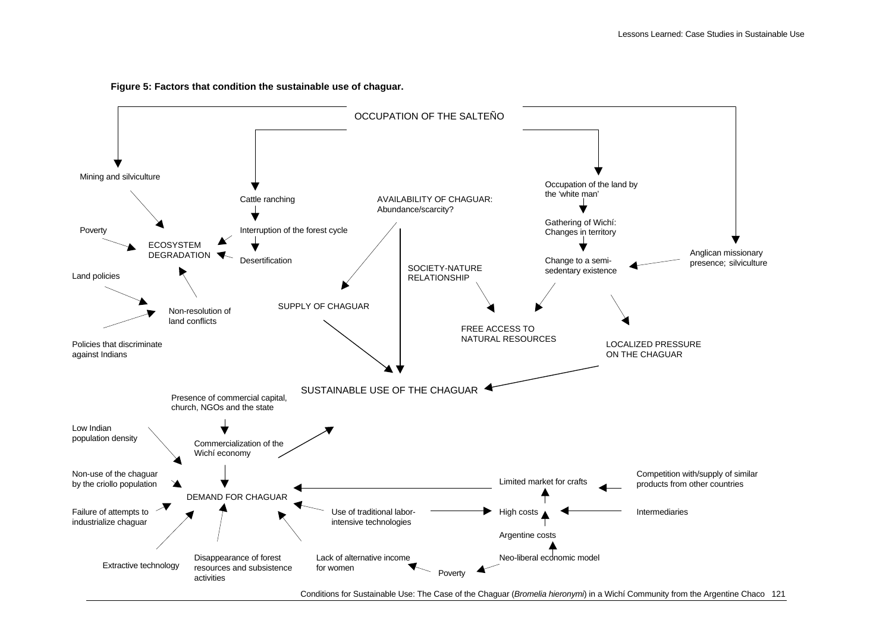

#### **Figure 5: Factors that condition the sustainable use of chaguar.**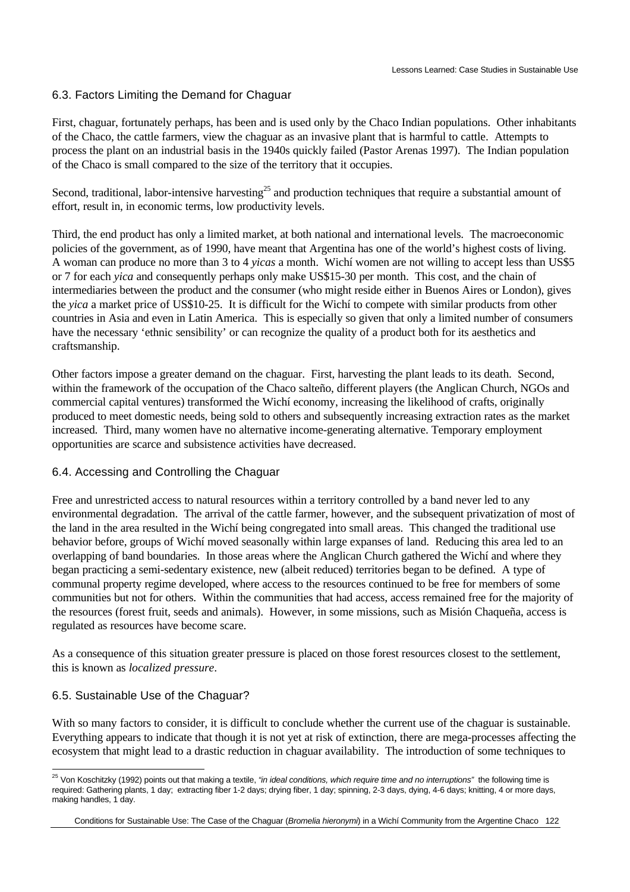### 6.3. Factors Limiting the Demand for Chaguar

First, chaguar, fortunately perhaps, has been and is used only by the Chaco Indian populations. Other inhabitants of the Chaco, the cattle farmers, view the chaguar as an invasive plant that is harmful to cattle. Attempts to process the plant on an industrial basis in the 1940s quickly failed (Pastor Arenas 1997). The Indian population of the Chaco is small compared to the size of the territory that it occupies.

Second, traditional, labor-intensive harvesting<sup>25</sup> and production techniques that require a substantial amount of effort, result in, in economic terms, low productivity levels.

Third, the end product has only a limited market, at both national and international levels. The macroeconomic policies of the government, as of 1990, have meant that Argentina has one of the world's highest costs of living. A woman can produce no more than 3 to 4 *yicas* a month. Wichí women are not willing to accept less than US\$5 or 7 for each *yica* and consequently perhaps only make US\$15-30 per month. This cost, and the chain of intermediaries between the product and the consumer (who might reside either in Buenos Aires or London), gives the *yica* a market price of US\$10-25. It is difficult for the Wichí to compete with similar products from other countries in Asia and even in Latin America. This is especially so given that only a limited number of consumers have the necessary 'ethnic sensibility' or can recognize the quality of a product both for its aesthetics and craftsmanship.

Other factors impose a greater demand on the chaguar. First, harvesting the plant leads to its death. Second, within the framework of the occupation of the Chaco salteño, different players (the Anglican Church, NGOs and commercial capital ventures) transformed the Wichí economy, increasing the likelihood of crafts, originally produced to meet domestic needs, being sold to others and subsequently increasing extraction rates as the market increased. Third, many women have no alternative income-generating alternative. Temporary employment opportunities are scarce and subsistence activities have decreased.

#### 6.4. Accessing and Controlling the Chaguar

Free and unrestricted access to natural resources within a territory controlled by a band never led to any environmental degradation. The arrival of the cattle farmer, however, and the subsequent privatization of most of the land in the area resulted in the Wichí being congregated into small areas. This changed the traditional use behavior before, groups of Wichí moved seasonally within large expanses of land. Reducing this area led to an overlapping of band boundaries. In those areas where the Anglican Church gathered the Wichí and where they began practicing a semi-sedentary existence, new (albeit reduced) territories began to be defined. A type of communal property regime developed, where access to the resources continued to be free for members of some communities but not for others. Within the communities that had access, access remained free for the majority of the resources (forest fruit, seeds and animals). However, in some missions, such as Misión Chaqueña, access is regulated as resources have become scare.

As a consequence of this situation greater pressure is placed on those forest resources closest to the settlement, this is known as *localized pressure*.

#### 6.5. Sustainable Use of the Chaguar?

With so many factors to consider, it is difficult to conclude whether the current use of the chaguar is sustainable. Everything appears to indicate that though it is not yet at risk of extinction, there are mega-processes affecting the ecosystem that might lead to a drastic reduction in chaguar availability. The introduction of some techniques to

 $\overline{a}$ <sup>25</sup> Von Koschitzky (1992) points out that making a textile, *"in ideal conditions, which require time and no interruptions" the following time is* required: Gathering plants, 1 day; extracting fiber 1-2 days; drying fiber, 1 day; spinning, 2-3 days, dying, 4-6 days; knitting, 4 or more days, making handles, 1 day.

Conditions for Sustainable Use: The Case of the Chaguar (*Bromelia hieronymi*) in a Wichí Community from the Argentine Chaco 122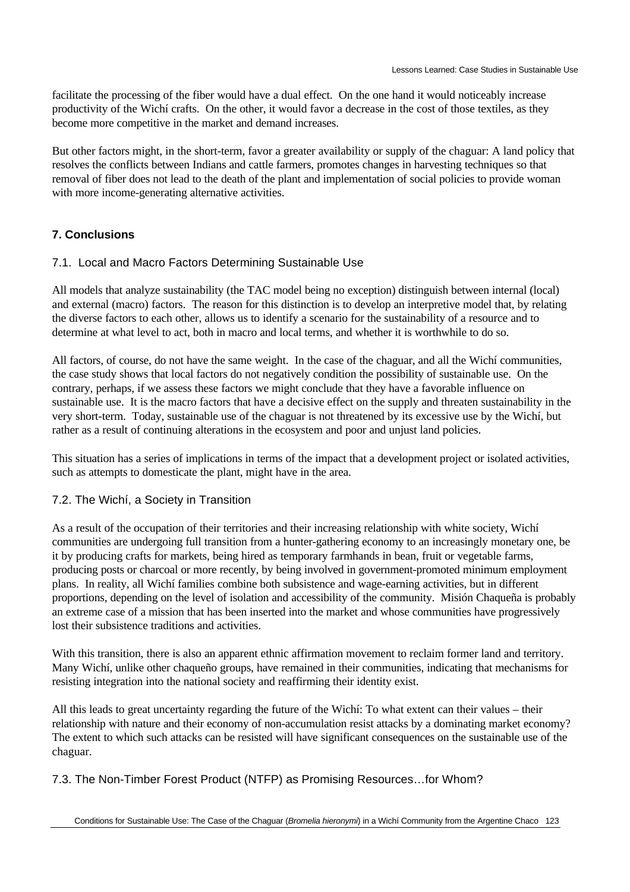facilitate the processing of the fiber would have a dual effect. On the one hand it would noticeably increase productivity of the Wichí crafts. On the other, it would favor a decrease in the cost of those textiles, as they become more competitive in the market and demand increases.

But other factors might, in the short-term, favor a greater availability or supply of the chaguar: A land policy that resolves the conflicts between Indians and cattle farmers, promotes changes in harvesting techniques so that removal of fiber does not lead to the death of the plant and implementation of social policies to provide woman with more income-generating alternative activities.

# **7. Conclusions**

# 7.1. Local and Macro Factors Determining Sustainable Use

All models that analyze sustainability (the TAC model being no exception) distinguish between internal (local) and external (macro) factors. The reason for this distinction is to develop an interpretive model that, by relating the diverse factors to each other, allows us to identify a scenario for the sustainability of a resource and to determine at what level to act, both in macro and local terms, and whether it is worthwhile to do so.

All factors, of course, do not have the same weight. In the case of the chaguar, and all the Wichí communities, the case study shows that local factors do not negatively condition the possibility of sustainable use. On the contrary, perhaps, if we assess these factors we might conclude that they have a favorable influence on sustainable use. It is the macro factors that have a decisive effect on the supply and threaten sustainability in the very short-term. Today, sustainable use of the chaguar is not threatened by its excessive use by the Wichí, but rather as a result of continuing alterations in the ecosystem and poor and unjust land policies.

This situation has a series of implications in terms of the impact that a development project or isolated activities, such as attempts to domesticate the plant, might have in the area.

# 7.2. The Wichí, a Society in Transition

As a result of the occupation of their territories and their increasing relationship with white society, Wichí communities are undergoing full transition from a hunter-gathering economy to an increasingly monetary one, be it by producing crafts for markets, being hired as temporary farmhands in bean, fruit or vegetable farms, producing posts or charcoal or more recently, by being involved in government-promoted minimum employment plans. In reality, all Wichí families combine both subsistence and wage-earning activities, but in different proportions, depending on the level of isolation and accessibility of the community. Misión Chaqueña is probably an extreme case of a mission that has been inserted into the market and whose communities have progressively lost their subsistence traditions and activities.

With this transition, there is also an apparent ethnic affirmation movement to reclaim former land and territory. Many Wichí, unlike other chaqueño groups, have remained in their communities, indicating that mechanisms for resisting integration into the national society and reaffirming their identity exist.

All this leads to great uncertainty regarding the future of the Wichí: To what extent can their values – their relationship with nature and their economy of non-accumulation resist attacks by a dominating market economy? The extent to which such attacks can be resisted will have significant consequences on the sustainable use of the chaguar.

# 7.3. The Non-Timber Forest Product (NTFP) as Promising Resources…for Whom?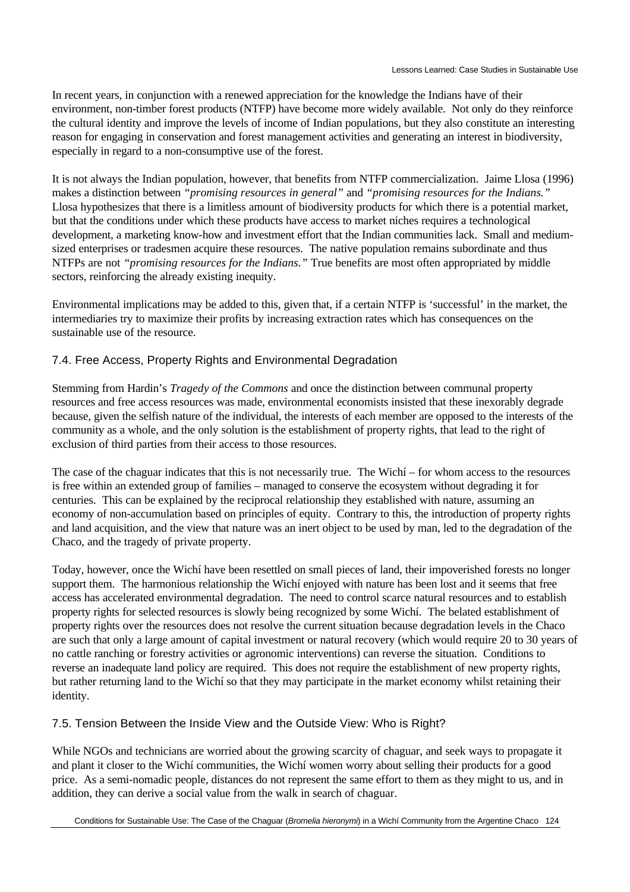In recent years, in conjunction with a renewed appreciation for the knowledge the Indians have of their environment, non-timber forest products (NTFP) have become more widely available. Not only do they reinforce the cultural identity and improve the levels of income of Indian populations, but they also constitute an interesting reason for engaging in conservation and forest management activities and generating an interest in biodiversity, especially in regard to a non-consumptive use of the forest.

It is not always the Indian population, however, that benefits from NTFP commercialization. Jaime Llosa (1996) makes a distinction between *"promising resources in general"* and *"promising resources for the Indians."* Llosa hypothesizes that there is a limitless amount of biodiversity products for which there is a potential market, but that the conditions under which these products have access to market niches requires a technological development, a marketing know-how and investment effort that the Indian communities lack. Small and mediumsized enterprises or tradesmen acquire these resources. The native population remains subordinate and thus NTFPs are not *"promising resources for the Indians."* True benefits are most often appropriated by middle sectors, reinforcing the already existing inequity.

Environmental implications may be added to this, given that, if a certain NTFP is 'successful' in the market, the intermediaries try to maximize their profits by increasing extraction rates which has consequences on the sustainable use of the resource.

# 7.4. Free Access, Property Rights and Environmental Degradation

Stemming from Hardin's *Tragedy of the Commons* and once the distinction between communal property resources and free access resources was made, environmental economists insisted that these inexorably degrade because, given the selfish nature of the individual, the interests of each member are opposed to the interests of the community as a whole, and the only solution is the establishment of property rights, that lead to the right of exclusion of third parties from their access to those resources.

The case of the chaguar indicates that this is not necessarily true. The Wichí – for whom access to the resources is free within an extended group of families – managed to conserve the ecosystem without degrading it for centuries. This can be explained by the reciprocal relationship they established with nature, assuming an economy of non-accumulation based on principles of equity. Contrary to this, the introduction of property rights and land acquisition, and the view that nature was an inert object to be used by man, led to the degradation of the Chaco, and the tragedy of private property.

Today, however, once the Wichí have been resettled on small pieces of land, their impoverished forests no longer support them. The harmonious relationship the Wichí enjoyed with nature has been lost and it seems that free access has accelerated environmental degradation. The need to control scarce natural resources and to establish property rights for selected resources is slowly being recognized by some Wichí. The belated establishment of property rights over the resources does not resolve the current situation because degradation levels in the Chaco are such that only a large amount of capital investment or natural recovery (which would require 20 to 30 years of no cattle ranching or forestry activities or agronomic interventions) can reverse the situation. Conditions to reverse an inadequate land policy are required. This does not require the establishment of new property rights, but rather returning land to the Wichí so that they may participate in the market economy whilst retaining their identity.

# 7.5. Tension Between the Inside View and the Outside View: Who is Right?

While NGOs and technicians are worried about the growing scarcity of chaguar, and seek ways to propagate it and plant it closer to the Wichí communities, the Wichí women worry about selling their products for a good price. As a semi-nomadic people, distances do not represent the same effort to them as they might to us, and in addition, they can derive a social value from the walk in search of chaguar.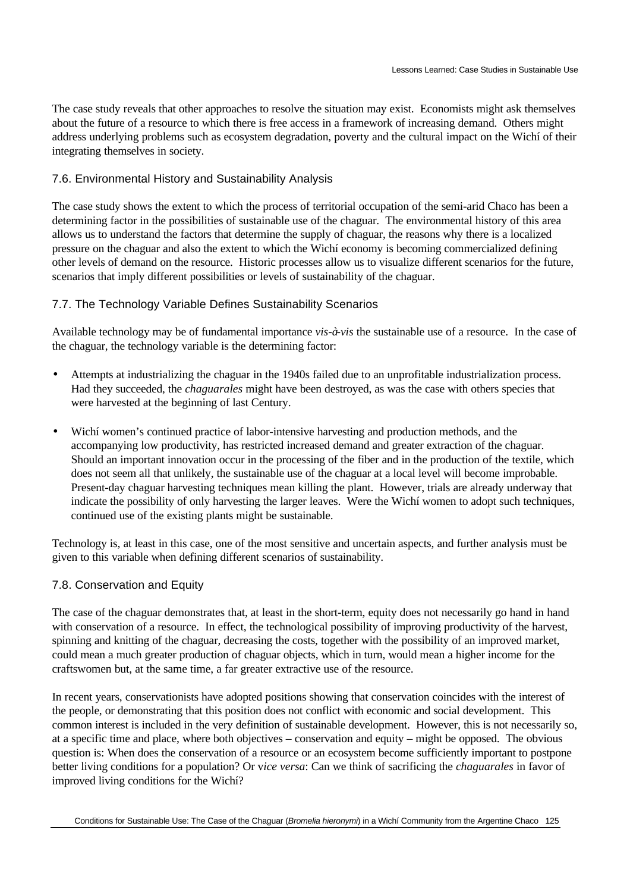The case study reveals that other approaches to resolve the situation may exist. Economists might ask themselves about the future of a resource to which there is free access in a framework of increasing demand. Others might address underlying problems such as ecosystem degradation, poverty and the cultural impact on the Wichí of their integrating themselves in society.

#### 7.6. Environmental History and Sustainability Analysis

The case study shows the extent to which the process of territorial occupation of the semi-arid Chaco has been a determining factor in the possibilities of sustainable use of the chaguar. The environmental history of this area allows us to understand the factors that determine the supply of chaguar, the reasons why there is a localized pressure on the chaguar and also the extent to which the Wichí economy is becoming commercialized defining other levels of demand on the resource. Historic processes allow us to visualize different scenarios for the future, scenarios that imply different possibilities or levels of sustainability of the chaguar.

#### 7.7. The Technology Variable Defines Sustainability Scenarios

Available technology may be of fundamental importance *vis-à-vis* the sustainable use of a resource. In the case of the chaguar, the technology variable is the determining factor:

- Attempts at industrializing the chaguar in the 1940s failed due to an unprofitable industrialization process. Had they succeeded, the *chaguarales* might have been destroyed, as was the case with others species that were harvested at the beginning of last Century.
- Wichí women's continued practice of labor-intensive harvesting and production methods, and the accompanying low productivity, has restricted increased demand and greater extraction of the chaguar. Should an important innovation occur in the processing of the fiber and in the production of the textile, which does not seem all that unlikely, the sustainable use of the chaguar at a local level will become improbable. Present-day chaguar harvesting techniques mean killing the plant. However, trials are already underway that indicate the possibility of only harvesting the larger leaves. Were the Wichí women to adopt such techniques, continued use of the existing plants might be sustainable.

Technology is, at least in this case, one of the most sensitive and uncertain aspects, and further analysis must be given to this variable when defining different scenarios of sustainability.

#### 7.8. Conservation and Equity

The case of the chaguar demonstrates that, at least in the short-term, equity does not necessarily go hand in hand with conservation of a resource. In effect, the technological possibility of improving productivity of the harvest, spinning and knitting of the chaguar, decreasing the costs, together with the possibility of an improved market, could mean a much greater production of chaguar objects, which in turn, would mean a higher income for the craftswomen but, at the same time, a far greater extractive use of the resource.

In recent years, conservationists have adopted positions showing that conservation coincides with the interest of the people, or demonstrating that this position does not conflict with economic and social development. This common interest is included in the very definition of sustainable development. However, this is not necessarily so, at a specific time and place, where both objectives – conservation and equity – might be opposed. The obvious question is: When does the conservation of a resource or an ecosystem become sufficiently important to postpone better living conditions for a population? Or v*ice versa*: Can we think of sacrificing the *chaguarales* in favor of improved living conditions for the Wichí?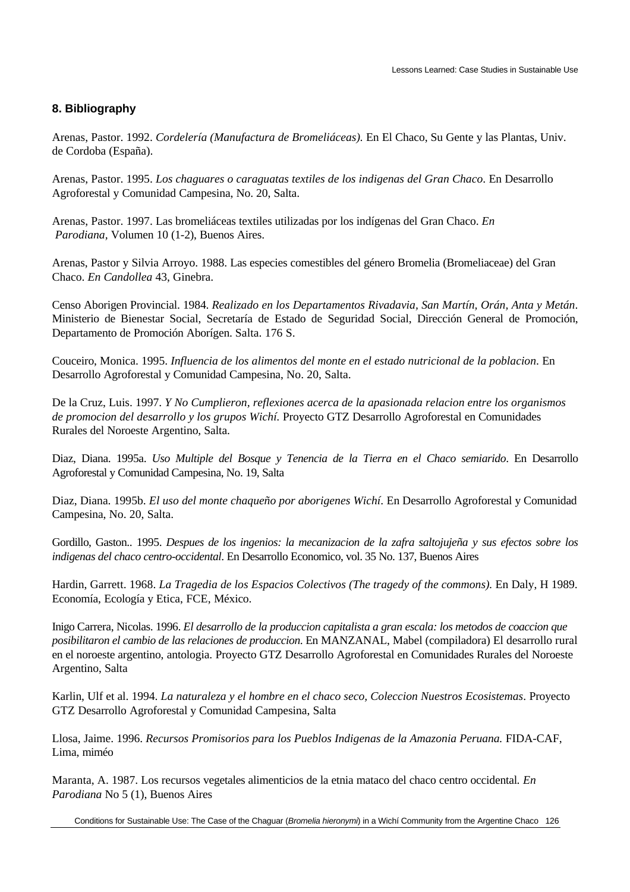### **8. Bibliography**

Arenas, Pastor. 1992. *Cordelería (Manufactura de Bromeliáceas).* En El Chaco, Su Gente y las Plantas, Univ. de Cordoba (España).

Arenas, Pastor. 1995. *Los chaguares o caraguatas textiles de los indigenas del Gran Chaco*. En Desarrollo Agroforestal y Comunidad Campesina, No. 20, Salta.

Arenas, Pastor. 1997. Las bromeliáceas textiles utilizadas por los indígenas del Gran Chaco. *En Parodiana,* Volumen 10 (1-2), Buenos Aires.

Arenas, Pastor y Silvia Arroyo. 1988. Las especies comestibles del género Bromelia (Bromeliaceae) del Gran Chaco. *En Candollea* 43, Ginebra.

Censo Aborigen Provincial. 1984. *Realizado en los Departamentos Rivadavia, San Martín, Orán, Anta y Metán*. Ministerio de Bienestar Social, Secretaría de Estado de Seguridad Social, Dirección General de Promoción, Departamento de Promoción Aborígen. Salta. 176 S.

Couceiro, Monica. 1995. *Influencia de los alimentos del monte en el estado nutricional de la poblacion*. En Desarrollo Agroforestal y Comunidad Campesina, No. 20, Salta.

De la Cruz, Luis. 1997. *Y No Cumplieron, reflexiones acerca de la apasionada relacion entre los organismos de promocion del desarrollo y los grupos Wichí.* Proyecto GTZ Desarrollo Agroforestal en Comunidades Rurales del Noroeste Argentino, Salta.

Diaz, Diana. 1995a. *Uso Multiple del Bosque y Tenencia de la Tierra en el Chaco semiarido*. En Desarrollo Agroforestal y Comunidad Campesina, No. 19, Salta

Diaz, Diana. 1995b. *El uso del monte chaqueño por aborigenes Wichí*. En Desarrollo Agroforestal y Comunidad Campesina, No. 20, Salta.

Gordillo, Gaston.. 1995. *Despues de los ingenios: la mecanizacion de la zafra saltojujeña y sus efectos sobre los indigenas del chaco centro-occidental*. En Desarrollo Economico, vol. 35 No. 137, Buenos Aires

Hardin, Garrett. 1968. *La Tragedia de los Espacios Colectivos (The tragedy of the commons).* En Daly, H 1989. Economía, Ecología y Etica, FCE, México.

Inigo Carrera, Nicolas. 1996. *El desarrollo de la produccion capitalista a gran escala: los metodos de coaccion que posibilitaron el cambio de las relaciones de produccion*. En MANZANAL, Mabel (compiladora) El desarrollo rural en el noroeste argentino, antologia. Proyecto GTZ Desarrollo Agroforestal en Comunidades Rurales del Noroeste Argentino, Salta

Karlin, Ulf et al. 1994. *La naturaleza y el hombre en el chaco seco, Coleccion Nuestros Ecosistemas*. Proyecto GTZ Desarrollo Agroforestal y Comunidad Campesina, Salta

Llosa, Jaime. 1996. *Recursos Promisorios para los Pueblos Indigenas de la Amazonia Peruana.* FIDA-CAF, Lima, miméo

Maranta, A. 1987. Los recursos vegetales alimenticios de la etnia mataco del chaco centro occidental*. En Parodiana* No 5 (1), Buenos Aires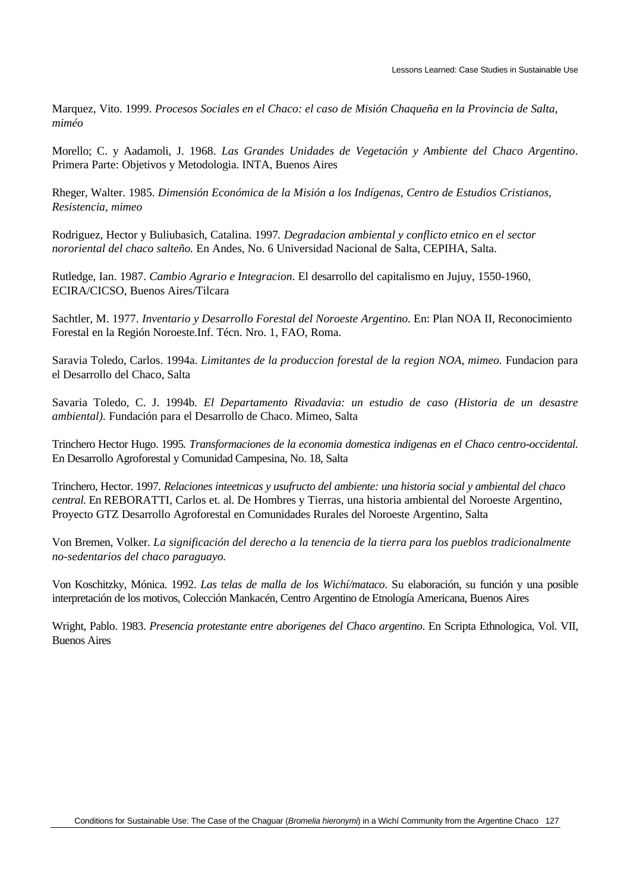Marquez, Vito. 1999. *Procesos Sociales en el Chaco: el caso de Misión Chaqueña en la Provincia de Salta, miméo*

Morello; C. y Aadamoli, J. 1968. *Las Grandes Unidades de Vegetación y Ambiente del Chaco Argentino*. Primera Parte: Objetivos y Metodologia. INTA, Buenos Aires

Rheger, Walter. 1985. *Dimensión Económica de la Misión a los Indígenas, Centro de Estudios Cristianos, Resistencia, mimeo*

Rodriguez, Hector y Buliubasich, Catalina. 1997*. Degradacion ambiental y conflicto etnico en el sector nororiental del chaco salteño.* En Andes, No. 6 Universidad Nacional de Salta, CEPIHA, Salta.

Rutledge, Ian. 1987. *Cambio Agrario e Integracion*. El desarrollo del capitalismo en Jujuy, 1550-1960, ECIRA/CICSO, Buenos Aires/Tilcara

Sachtler, M. 1977. *Inventario y Desarrollo Forestal del Noroeste Argentino*. En: Plan NOA II, Reconocimiento Forestal en la Región Noroeste.Inf. Técn. Nro. 1, FAO, Roma.

Saravia Toledo, Carlos. 1994a. *Limitantes de la produccion forestal de la region NOA, mimeo.* Fundacion para el Desarrollo del Chaco, Salta

Savaria Toledo, C. J. 1994b*. El Departamento Rivadavia: un estudio de caso (Historia de un desastre ambiental).* Fundación para el Desarrollo de Chaco. Mimeo, Salta

Trinchero Hector Hugo. 1995*. Transformaciones de la economia domestica indigenas en el Chaco centro-occidental.* En Desarrollo Agroforestal y Comunidad Campesina, No. 18, Salta

Trinchero, Hector. 1997*. Relaciones inteetnicas y usufructo del ambiente: una historia social y ambiental del chaco central.* En REBORATTI, Carlos et. al. De Hombres y Tierras, una historia ambiental del Noroeste Argentino, Proyecto GTZ Desarrollo Agroforestal en Comunidades Rurales del Noroeste Argentino, Salta

Von Bremen, Volker. *La significación del derecho a la tenencia de la tierra para los pueblos tradicionalmente no-sedentarios del chaco paraguayo.*

Von Koschitzky, Mónica. 1992. *Las telas de malla de los Wichí/mataco*. Su elaboración, su función y una posible interpretación de los motivos, Colección Mankacén, Centro Argentino de Etnología Americana, Buenos Aires

Wright, Pablo. 1983. *Presencia protestante entre aborigenes del Chaco argentino*. En Scripta Ethnologica, Vol. VII, Buenos Aires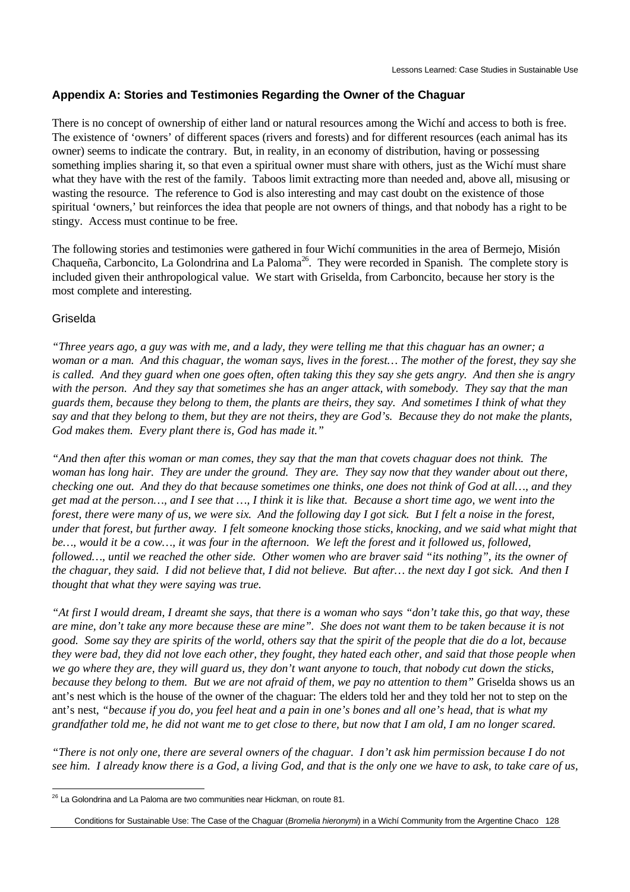### **Appendix A: Stories and Testimonies Regarding the Owner of the Chaguar**

There is no concept of ownership of either land or natural resources among the Wichí and access to both is free. The existence of 'owners' of different spaces (rivers and forests) and for different resources (each animal has its owner) seems to indicate the contrary. But, in reality, in an economy of distribution, having or possessing something implies sharing it, so that even a spiritual owner must share with others, just as the Wichí must share what they have with the rest of the family. Taboos limit extracting more than needed and, above all, misusing or wasting the resource. The reference to God is also interesting and may cast doubt on the existence of those spiritual 'owners,' but reinforces the idea that people are not owners of things, and that nobody has a right to be stingy. Access must continue to be free.

The following stories and testimonies were gathered in four Wichí communities in the area of Bermejo, Misión Chaqueña, Carboncito, La Golondrina and La Paloma<sup>26</sup>. They were recorded in Spanish. The complete story is included given their anthropological value. We start with Griselda, from Carboncito, because her story is the most complete and interesting.

#### Griselda

 $\overline{a}$ 

*"Three years ago, a guy was with me, and a lady, they were telling me that this chaguar has an owner; a woman or a man. And this chaguar, the woman says, lives in the forest… The mother of the forest, they say she is called. And they guard when one goes often, often taking this they say she gets angry. And then she is angry with the person. And they say that sometimes she has an anger attack, with somebody. They say that the man guards them, because they belong to them, the plants are theirs, they say. And sometimes I think of what they say and that they belong to them, but they are not theirs, they are God's. Because they do not make the plants, God makes them. Every plant there is, God has made it."*

*"And then after this woman or man comes, they say that the man that covets chaguar does not think. The woman has long hair. They are under the ground. They are. They say now that they wander about out there, checking one out. And they do that because sometimes one thinks, one does not think of God at all…, and they get mad at the person…, and I see that …, I think it is like that. Because a short time ago, we went into the forest, there were many of us, we were six. And the following day I got sick. But I felt a noise in the forest, under that forest, but further away. I felt someone knocking those sticks, knocking, and we said what might that be…, would it be a cow…, it was four in the afternoon. We left the forest and it followed us, followed, followed…, until we reached the other side. Other women who are braver said "its nothing", its the owner of the chaguar, they said. I did not believe that, I did not believe. But after… the next day I got sick. And then I thought that what they were saying was true.*

*"At first I would dream, I dreamt she says, that there is a woman who says "don't take this, go that way, these are mine, don't take any more because these are mine". She does not want them to be taken because it is not good. Some say they are spirits of the world, others say that the spirit of the people that die do a lot, because they were bad, they did not love each other, they fought, they hated each other, and said that those people when we go where they are, they will guard us, they don't want anyone to touch, that nobody cut down the sticks, because they belong to them. But we are not afraid of them, we pay no attention to them"* Griselda shows us an ant's nest which is the house of the owner of the chaguar: The elders told her and they told her not to step on the ant's nest, *"because if you do, you feel heat and a pain in one's bones and all one's head, that is what my grandfather told me, he did not want me to get close to there, but now that I am old, I am no longer scared.*

*"There is not only one, there are several owners of the chaguar. I don't ask him permission because I do not see him. I already know there is a God, a living God, and that is the only one we have to ask, to take care of us,*

 $26$  La Golondrina and La Paloma are two communities near Hickman, on route 81.

Conditions for Sustainable Use: The Case of the Chaguar (*Bromelia hieronymi*) in a Wichí Community from the Argentine Chaco 128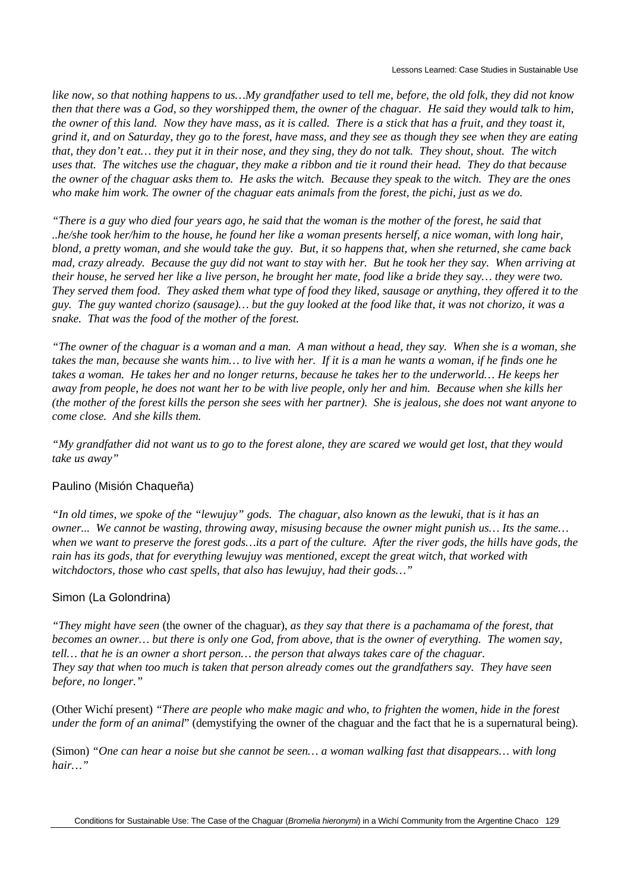*like now, so that nothing happens to us…My grandfather used to tell me, before, the old folk, they did not know then that there was a God, so they worshipped them, the owner of the chaguar. He said they would talk to him, the owner of this land. Now they have mass, as it is called. There is a stick that has a fruit, and they toast it, grind it, and on Saturday, they go to the forest, have mass, and they see as though they see when they are eating that, they don't eat… they put it in their nose, and they sing, they do not talk. They shout, shout. The witch uses that. The witches use the chaguar, they make a ribbon and tie it round their head. They do that because the owner of the chaguar asks them to. He asks the witch. Because they speak to the witch. They are the ones who make him work. The owner of the chaguar eats animals from the forest, the pichi, just as we do.*

*"There is a guy who died four years ago, he said that the woman is the mother of the forest, he said that ..he/she took her/him to the house, he found her like a woman presents herself, a nice woman, with long hair, blond, a pretty woman, and she would take the guy. But, it so happens that, when she returned, she came back mad, crazy already. Because the guy did not want to stay with her. But he took her they say. When arriving at their house, he served her like a live person, he brought her mate, food like a bride they say… they were two. They served them food. They asked them what type of food they liked, sausage or anything, they offered it to the guy. The guy wanted chorizo (sausage)… but the guy looked at the food like that, it was not chorizo, it was a snake. That was the food of the mother of the forest.*

*"The owner of the chaguar is a woman and a man. A man without a head, they say. When she is a woman, she takes the man, because she wants him… to live with her. If it is a man he wants a woman, if he finds one he takes a woman. He takes her and no longer returns, because he takes her to the underworld… He keeps her away from people, he does not want her to be with live people, only her and him. Because when she kills her (the mother of the forest kills the person she sees with her partner). She is jealous, she does not want anyone to come close. And she kills them.*

*"My grandfather did not want us to go to the forest alone, they are scared we would get lost, that they would take us away"*

#### Paulino (Misión Chaqueña)

*"In old times, we spoke of the "lewujuy" gods. The chaguar, also known as the lewuki, that is it has an owner... We cannot be wasting, throwing away, misusing because the owner might punish us… Its the same… when we want to preserve the forest gods…its a part of the culture. After the river gods, the hills have gods, the rain has its gods, that for everything lewujuy was mentioned, except the great witch, that worked with witchdoctors, those who cast spells, that also has lewujuy, had their gods…"*

#### Simon (La Golondrina)

*"They might have seen* (the owner of the chaguar), *as they say that there is a pachamama of the forest, that becomes an owner… but there is only one God, from above, that is the owner of everything. The women say, tell… that he is an owner a short person… the person that always takes care of the chaguar. They say that when too much is taken that person already comes out the grandfathers say. They have seen before, no longer."*

(Other Wichí present) *"There are people who make magic and who, to frighten the women, hide in the forest under the form of an animal*" (demystifying the owner of the chaguar and the fact that he is a supernatural being).

(Simon) *"One can hear a noise but she cannot be seen… a woman walking fast that disappears… with long hair…"*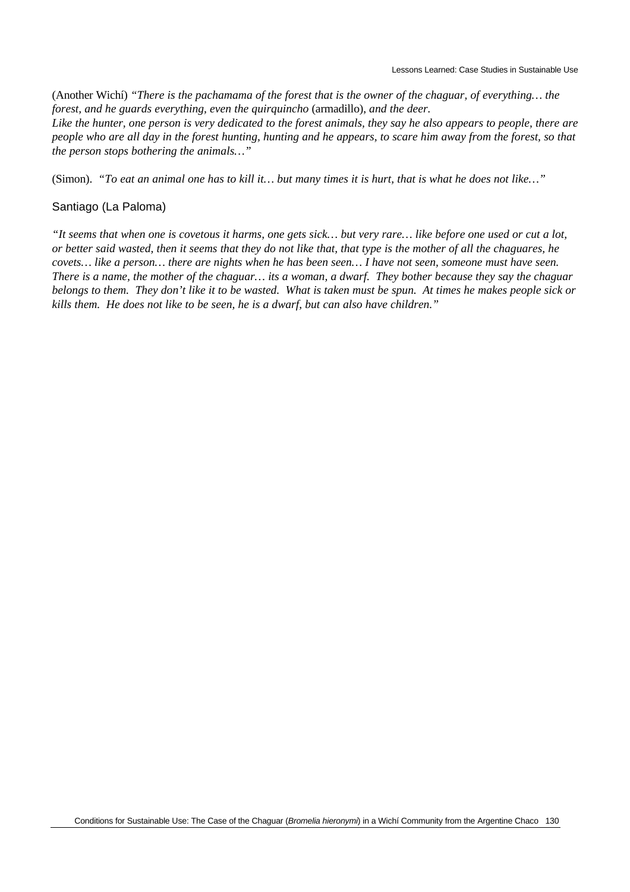(Another Wichí) *"There is the pachamama of the forest that is the owner of the chaguar, of everything… the forest, and he guards everything, even the quirquincho* (armadillo), *and the deer.*

*Like the hunter, one person is very dedicated to the forest animals, they say he also appears to people, there are people who are all day in the forest hunting, hunting and he appears, to scare him away from the forest, so that the person stops bothering the animals…"*

(Simon). *"To eat an animal one has to kill it… but many times it is hurt, that is what he does not like…"*

#### Santiago (La Paloma)

*"It seems that when one is covetous it harms, one gets sick… but very rare… like before one used or cut a lot, or better said wasted, then it seems that they do not like that, that type is the mother of all the chaguares, he covets… like a person… there are nights when he has been seen… I have not seen, someone must have seen. There is a name, the mother of the chaguar… its a woman, a dwarf. They bother because they say the chaguar belongs to them. They don't like it to be wasted. What is taken must be spun. At times he makes people sick or kills them. He does not like to be seen, he is a dwarf, but can also have children."*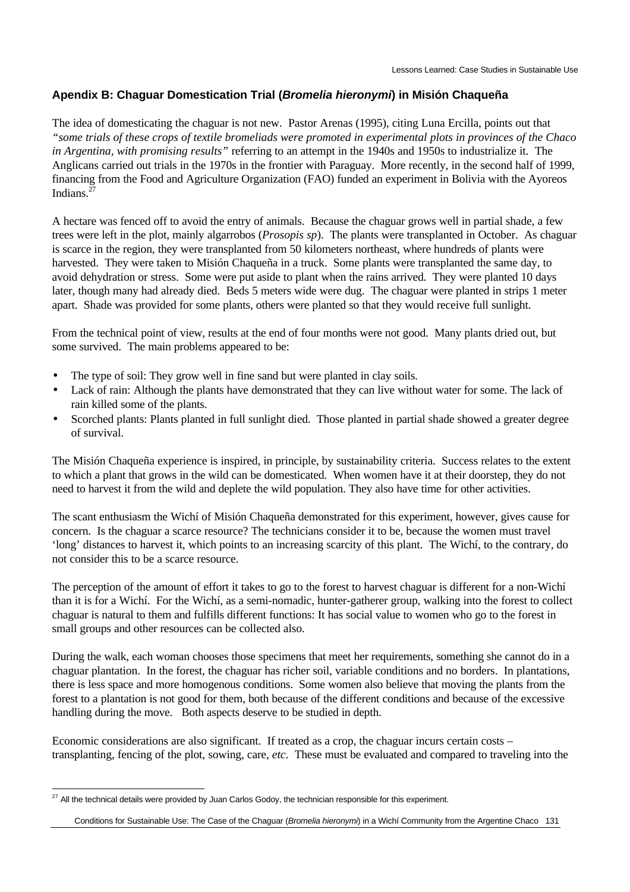### **Apendix B: Chaguar Domestication Trial (***Bromelia hieronymi***) in Misión Chaqueña**

The idea of domesticating the chaguar is not new. Pastor Arenas (1995), citing Luna Ercilla, points out that *"some trials of these crops of textile bromeliads were promoted in experimental plots in provinces of the Chaco in Argentina, with promising results"* referring to an attempt in the 1940s and 1950s to industrialize it. The Anglicans carried out trials in the 1970s in the frontier with Paraguay. More recently, in the second half of 1999, financing from the Food and Agriculture Organization (FAO) funded an experiment in Bolivia with the Ayoreos Indians $^{\overline{2}}$ 

A hectare was fenced off to avoid the entry of animals. Because the chaguar grows well in partial shade, a few trees were left in the plot, mainly algarrobos (*Prosopis sp*). The plants were transplanted in October. As chaguar is scarce in the region, they were transplanted from 50 kilometers northeast, where hundreds of plants were harvested. They were taken to Misión Chaqueña in a truck. Some plants were transplanted the same day, to avoid dehydration or stress. Some were put aside to plant when the rains arrived. They were planted 10 days later, though many had already died. Beds 5 meters wide were dug. The chaguar were planted in strips 1 meter apart. Shade was provided for some plants, others were planted so that they would receive full sunlight.

From the technical point of view, results at the end of four months were not good. Many plants dried out, but some survived. The main problems appeared to be:

- The type of soil: They grow well in fine sand but were planted in clay soils.
- Lack of rain: Although the plants have demonstrated that they can live without water for some. The lack of rain killed some of the plants.
- Scorched plants: Plants planted in full sunlight died. Those planted in partial shade showed a greater degree of survival.

The Misión Chaqueña experience is inspired, in principle, by sustainability criteria. Success relates to the extent to which a plant that grows in the wild can be domesticated. When women have it at their doorstep, they do not need to harvest it from the wild and deplete the wild population. They also have time for other activities.

The scant enthusiasm the Wichí of Misión Chaqueña demonstrated for this experiment, however, gives cause for concern. Is the chaguar a scarce resource? The technicians consider it to be, because the women must travel 'long' distances to harvest it, which points to an increasing scarcity of this plant. The Wichí, to the contrary, do not consider this to be a scarce resource.

The perception of the amount of effort it takes to go to the forest to harvest chaguar is different for a non-Wichí than it is for a Wichí. For the Wichí, as a semi-nomadic, hunter-gatherer group, walking into the forest to collect chaguar is natural to them and fulfills different functions: It has social value to women who go to the forest in small groups and other resources can be collected also.

During the walk, each woman chooses those specimens that meet her requirements, something she cannot do in a chaguar plantation. In the forest, the chaguar has richer soil, variable conditions and no borders. In plantations, there is less space and more homogenous conditions. Some women also believe that moving the plants from the forest to a plantation is not good for them, both because of the different conditions and because of the excessive handling during the move. Both aspects deserve to be studied in depth.

Economic considerations are also significant. If treated as a crop, the chaguar incurs certain costs – transplanting, fencing of the plot, sowing, care, *etc*. These must be evaluated and compared to traveling into the

 $\overline{a}$ 

 $^{27}$  All the technical details were provided by Juan Carlos Godoy, the technician responsible for this experiment.

Conditions for Sustainable Use: The Case of the Chaguar (*Bromelia hieronymi*) in a Wichí Community from the Argentine Chaco 131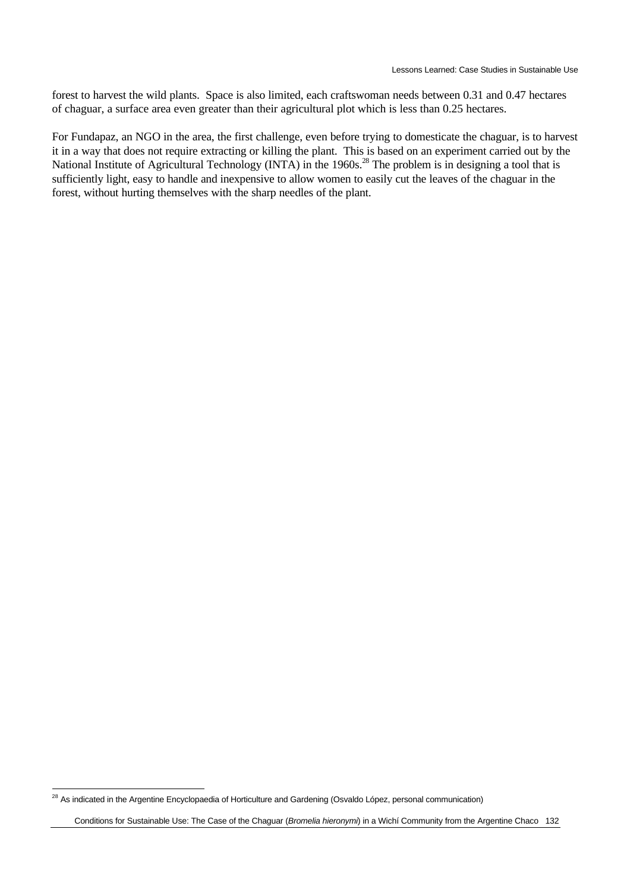forest to harvest the wild plants. Space is also limited, each craftswoman needs between 0.31 and 0.47 hectares of chaguar, a surface area even greater than their agricultural plot which is less than 0.25 hectares.

For Fundapaz, an NGO in the area, the first challenge, even before trying to domesticate the chaguar, is to harvest it in a way that does not require extracting or killing the plant. This is based on an experiment carried out by the National Institute of Agricultural Technology (INTA) in the 1960s.<sup>28</sup> The problem is in designing a tool that is sufficiently light, easy to handle and inexpensive to allow women to easily cut the leaves of the chaguar in the forest, without hurting themselves with the sharp needles of the plant.

 $\overline{a}$ 

 $^{28}$  As indicated in the Argentine Encyclopaedia of Horticulture and Gardening (Osvaldo López, personal communication)

Conditions for Sustainable Use: The Case of the Chaguar (*Bromelia hieronymi*) in a Wichí Community from the Argentine Chaco 132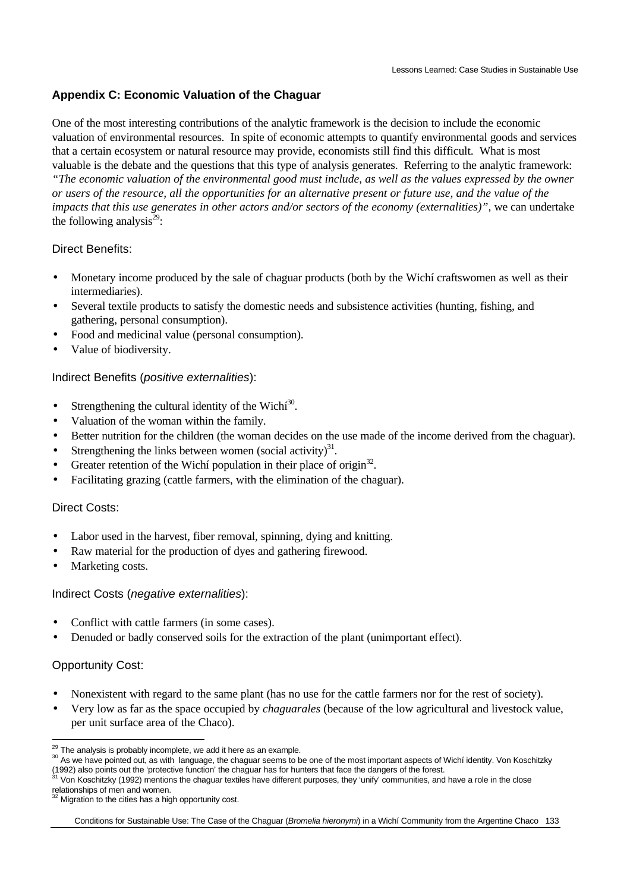### **Appendix C: Economic Valuation of the Chaguar**

One of the most interesting contributions of the analytic framework is the decision to include the economic valuation of environmental resources. In spite of economic attempts to quantify environmental goods and services that a certain ecosystem or natural resource may provide, economists still find this difficult. What is most valuable is the debate and the questions that this type of analysis generates. Referring to the analytic framework: *"The economic valuation of the environmental good must include, as well as the values expressed by the owner or users of the resource, all the opportunities for an alternative present or future use, and the value of the impacts that this use generates in other actors and/or sectors of the economy (externalities)",* we can undertake

the following analysis $^{29}$ :

#### Direct Benefits:

- Monetary income produced by the sale of chaguar products (both by the Wichí craftswomen as well as their intermediaries).
- Several textile products to satisfy the domestic needs and subsistence activities (hunting, fishing, and gathering, personal consumption).
- Food and medicinal value (personal consumption).
- Value of biodiversity.

#### Indirect Benefits (*positive externalities*):

- Strengthening the cultural identity of the Wich $i^{30}$ .
- Valuation of the woman within the family.
- Better nutrition for the children (the woman decides on the use made of the income derived from the chaguar).
- Strengthening the links between women (social activity) $31$ .
- Greater retention of the Wichí population in their place of origin<sup>32</sup>.
- Facilitating grazing (cattle farmers, with the elimination of the chaguar).

#### Direct Costs:

- Labor used in the harvest, fiber removal, spinning, dying and knitting.
- Raw material for the production of dyes and gathering firewood.
- Marketing costs.

#### Indirect Costs (*negative externalities*):

- Conflict with cattle farmers (in some cases).
- Denuded or badly conserved soils for the extraction of the plant (unimportant effect).

#### Opportunity Cost:

- Nonexistent with regard to the same plant (has no use for the cattle farmers nor for the rest of society).
- Very low as far as the space occupied by *chaguarales* (because of the low agricultural and livestock value, per unit surface area of the Chaco).

 $\overline{a}$  $^{29}$  The analysis is probably incomplete, we add it here as an example.

<sup>&</sup>lt;sup>30</sup> As we have pointed out, as with language, the chaguar seems to be one of the most important aspects of Wichí identity. Von Koschitzky (1992) also points out the 'protective function' the chaguar has for hunters that face the dangers of the forest.

Von Koschitzky (1992) mentions the chaguar textiles have different purposes, they 'unify' communities, and have a role in the close relationships of men and women.

Migration to the cities has a high opportunity cost.

Conditions for Sustainable Use: The Case of the Chaguar (*Bromelia hieronymi*) in a Wichí Community from the Argentine Chaco 133